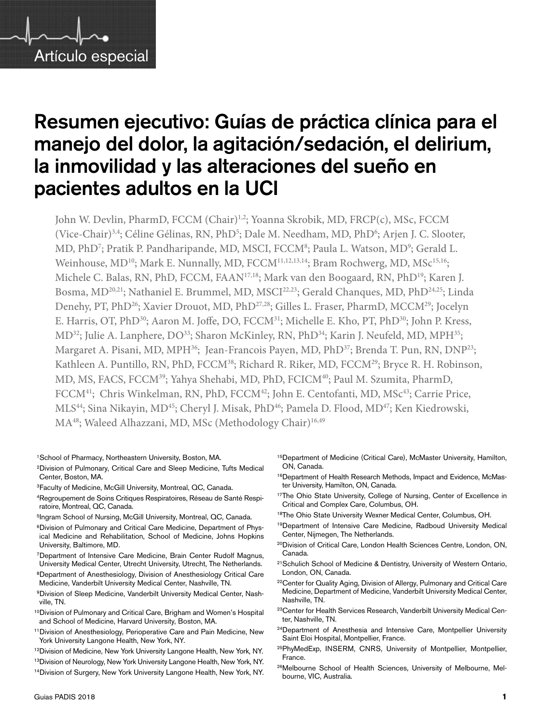

# Resumen ejecutivo: Guías de práctica clínica para el manejo del dolor, la agitación/sedación, el delirium, la inmovilidad y las alteraciones del sueño en pacientes adultos en la UCI

John W. Devlin, PharmD, FCCM (Chair)<sup>1,2</sup>; Yoanna Skrobik, MD, FRCP(c), MSc, FCCM (Vice-Chair)<sup>3,4</sup>; Céline Gélinas, RN, PhD<sup>5</sup>; Dale M. Needham, MD, PhD<sup>6</sup>; Arjen J. C. Slooter, MD, PhD<sup>7</sup>; Pratik P. Pandharipande, MD, MSCI, FCCM<sup>8</sup>; Paula L. Watson, MD<sup>9</sup>; Gerald L. Weinhouse, MD<sup>10</sup>; Mark E. Nunnally, MD, FCCM<sup>11,12,13,14</sup>; Bram Rochwerg, MD, MSc<sup>15,16</sup>; Michele C. Balas, RN, PhD, FCCM, FAAN17,18; Mark van den Boogaard, RN, PhD19; Karen J. Bosma, MD<sup>20,21</sup>; Nathaniel E. Brummel, MD, MSCI<sup>22,23</sup>; Gerald Chanques, MD, PhD<sup>24,25</sup>; Linda Denehy, PT, PhD<sup>26</sup>; Xavier Drouot, MD, PhD<sup>27,28</sup>; Gilles L. Fraser, PharmD, MCCM<sup>29</sup>; Jocelyn E. Harris, OT, PhD<sup>30</sup>; Aaron M. Joffe, DO, FCCM<sup>31</sup>; Michelle E. Kho, PT, PhD<sup>30</sup>; John P. Kress, MD<sup>32</sup>; Julie A. Lanphere, DO<sup>33</sup>; Sharon McKinley, RN, PhD<sup>34</sup>; Karin J. Neufeld, MD, MPH<sup>35</sup>; Margaret A. Pisani, MD, MPH<sup>36</sup>; Jean-Francois Payen, MD, PhD<sup>37</sup>; Brenda T. Pun, RN, DNP<sup>23</sup>; Kathleen A. Puntillo, RN, PhD, FCCM<sup>38</sup>; Richard R. Riker, MD, FCCM<sup>29</sup>; Bryce R. H. Robinson, MD, MS, FACS, FCCM<sup>39</sup>; Yahya Shehabi, MD, PhD, FCICM<sup>40</sup>; Paul M. Szumita, PharmD, FCCM<sup>41</sup>; Chris Winkelman, RN, PhD, FCCM<sup>42</sup>; John E. Centofanti, MD, MSc<sup>43</sup>; Carrie Price, MLS<sup>44</sup>; Sina Nikayin, MD<sup>45</sup>; Cheryl J. Misak, PhD<sup>46</sup>; Pamela D. Flood, MD<sup>47</sup>; Ken Kiedrowski, MA<sup>48</sup>; Waleed Alhazzani, MD, MSc (Methodology Chair)<sup>16,49</sup>

1School of Pharmacy, Northeastern University, Boston, MA.

- 2Division of Pulmonary, Critical Care and Sleep Medicine, Tufts Medical Center, Boston, MA.
- 3Faculty of Medicine, McGill University, Montreal, QC, Canada.
- 4Regroupement de Soins Critiques Respiratoires, Réseau de Santé Respiratoire, Montreal, QC, Canada.
- 5Ingram School of Nursing, McGill University, Montreal, QC, Canada.
- <sup>6</sup>Division of Pulmonary and Critical Care Medicine, Department of Physical Medicine and Rehabilitation, School of Medicine, Johns Hopkins University, Baltimore, MD.
- 7Department of Intensive Care Medicine, Brain Center Rudolf Magnus, University Medical Center, Utrecht University, Utrecht, The Netherlands.
- 8Department of Anesthesiology, Division of Anesthesiology Critical Care Medicine, Vanderbilt University Medical Center, Nashville, TN.
- 9Division of Sleep Medicine, Vanderbilt University Medical Center, Nashville, TN.
- 10Division of Pulmonary and Critical Care, Brigham and Women's Hospital and School of Medicine, Harvard University, Boston, MA.
- 11Division of Anesthesiology, Perioperative Care and Pain Medicine, New York University Langone Health, New York, NY.
- <sup>12</sup>Division of Medicine, New York University Langone Health, New York, NY.
- 13Division of Neurology, New York University Langone Health, New York, NY.
- 14Division of Surgery, New York University Langone Health, New York, NY.
- 15Department of Medicine (Critical Care), McMaster University, Hamilton, ON, Canada.
- 16Department of Health Research Methods, Impact and Evidence, McMaster University, Hamilton, ON, Canada.
- <sup>17</sup>The Ohio State University, College of Nursing, Center of Excellence in Critical and Complex Care, Columbus, OH.
- 18The Ohio State University Wexner Medical Center, Columbus, OH.
- 19Department of Intensive Care Medicine, Radboud University Medical Center, Nijmegen, The Netherlands.
- 20Division of Critical Care, London Health Sciences Centre, London, ON, Canada.
- <sup>21</sup>Schulich School of Medicine & Dentistry, University of Western Ontario, London, ON, Canada.
- <sup>22</sup>Center for Quality Aging, Division of Allergy, Pulmonary and Critical Care Medicine, Department of Medicine, Vanderbilt University Medical Center, Nashville, TN.
- 23Center for Health Services Research, Vanderbilt University Medical Center, Nashville, TN.
- <sup>24</sup>Department of Anesthesia and Intensive Care, Montpellier University Saint Eloi Hospital, Montpellier, France.
- 25PhyMedExp, INSERM, CNRS, University of Montpellier, Montpellier, France.
- 26Melbourne School of Health Sciences, University of Melbourne, Melbourne, VIC, Australia.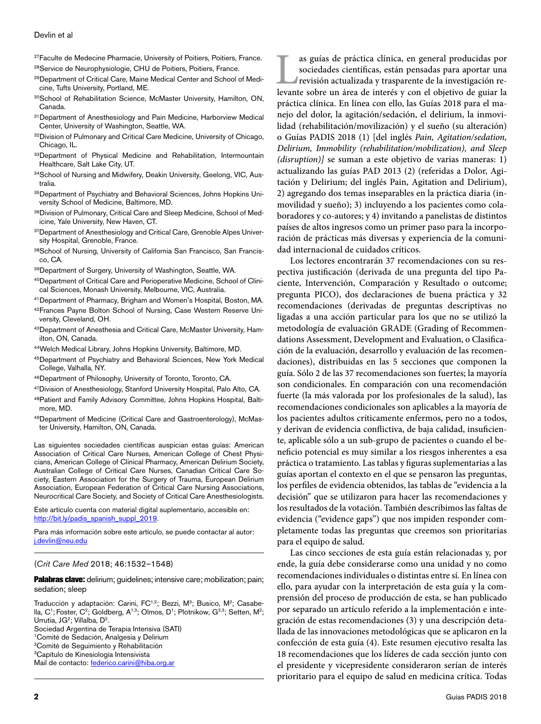<sup>27</sup>Faculte de Medecine Pharmacie, University of Poitiers, Poitiers, France.

28Service de Neurophysiologie, CHU de Poitiers, Poitiers, France.

- 29Department of Critical Care, Maine Medical Center and School of Medicine, Tufts University, Portland, ME.
- 30School of Rehabilitation Science, McMaster University, Hamilton, ON, Canada.
- <sup>31</sup>Department of Anesthesiology and Pain Medicine, Harborview Medical Center, University of Washington, Seattle, WA.
- 32Division of Pulmonary and Critical Care Medicine, University of Chicago, Chicago, IL.
- 33Department of Physical Medicine and Rehabilitation, Intermountain Healthcare, Salt Lake City, UT.
- 34School of Nursing and Midwifery, Deakin University, Geelong, VIC, Australia.
- 35 Department of Psychiatry and Behavioral Sciences, Johns Hopkins University School of Medicine, Baltimore, MD.
- 36 Division of Pulmonary, Critical Care and Sleep Medicine, School of Medicine, Yale University, New Haven, CT.
- <sup>37</sup>Department of Anesthesiology and Critical Care, Grenoble Alpes University Hospital, Grenoble, France.
- 38School of Nursing, University of California San Francisco, San Francisco, CA.
- 39Department of Surgery, University of Washington, Seattle, WA.
- 40Department of Critical Care and Perioperative Medicine, School of Clinical Sciences, Monash University, Melbourne, VIC, Australia.
- 41Department of Pharmacy, Brigham and Women's Hospital, Boston, MA.
- 42Frances Payne Bolton School of Nursing, Case Western Reserve University, Cleveland, OH.
- 43Department of Anesthesia and Critical Care, McMaster University, Hamilton, ON, Canada.
- 44Welch Medical Library, Johns Hopkins University, Baltimore, MD.
- 45Department of Psychiatry and Behavioral Sciences, New York Medical College, Valhalla, NY.
- 46Department of Philosophy, University of Toronto, Toronto, CA.
- 47Division of Anesthesiology, Stanford University Hospital, Palo Alto, CA.
- 48Patient and Family Advisory Committee, Johns Hopkins Hospital, Baltimore, MD.
- 49Department of Medicine (Critical Care and Gastroenterology), McMaster University, Hamilton, ON, Canada.

Las siguientes sociedades científicas auspician estas guías: American Association of Critical Care Nurses, American College of Chest Physicians, American College of Clinical Pharmacy, American Delirium Society, Australian College of Critical Care Nurses, Canadian Critical Care Society, Eastern Association for the Surgery of Trauma, European Delirium Association, European Federation of Critical Care Nursing Associations, Neurocritical Care Society, and Society of Critical Care Anesthesiologists.

Este artículo cuenta con material digital suplementario, accesible en: [http://bit.ly/padis\\_spanish\\_suppl\\_2019.](http://bit.ly/padis_spanish_suppl_2019)

Para más información sobre este artículo, se puede contactar al autor: [j.devlin@neu.edu](mailto:j.devlin%40neu.edu?subject=)

#### (*Crit Care Med* 2018; 46:1532–1548)

Palabras clave: delirium; guidelines; intensive care; mobilization; pain; sedation; sleep

Traducción y adaptación: Carini, FC<sup>1,2</sup>; Bezzi, M<sup>3</sup>; Busico, M<sup>2</sup>; Casabella, C<sup>1</sup>; Foster, C<sup>2</sup>; Goldberg, A<sup>1,3</sup>; Olmos, D<sup>1</sup>; Plotnikow, G<sup>2,3</sup>; Setten, M<sup>2</sup>; Urrutia, JG<sup>2</sup>; Villalba, D<sup>2</sup>.

Sociedad Argentina de Terapia Intensiva (SATI)

<sup>1</sup>Comité de Sedación, Analgesia y Delirium<br><sup>2</sup>Comité de Sequimiento y Rebabilitación Comité de Seguimiento y Rehabilitación

3 Capítulo de Kinesiología Intensivista

Mail de contacto: [federico.carini@hiba.org.ar](mailto:Federico.carini@hiba.org.ar)

as guías de práctica clínica, en general producidas por sociedades científicas, están pensadas para aportar una revisión actualizada y trasparente de la investigación relevante sobre un área de interés y con el obietivo de sociedades científicas, están pensadas para aportar una revisión actualizada y trasparente de la investigación relevante sobre un área de interés y con el objetivo de guiar la práctica clínica. En línea con ello, las Guías 2018 para el manejo del dolor, la agitación/sedación, el delirium, la inmovilidad (rehabilitación/movilización) y el sueño (su alteración) o Guías PADIS 2018 (1) [del inglés *Pain, Agitation/sedation, Delirium, Immobility (rehabilitation/mobilization), and Sleep (disruption)]* se suman a este objetivo de varias maneras: 1) actualizando las guías PAD 2013 (2) (referidas a Dolor, Agitación y Delirium; del inglés Pain, Agitation and Delirium), 2) agregando dos temas inseparables en la práctica diaria (inmovilidad y sueño); 3) incluyendo a los pacientes como colaboradores y co-autores; y 4) invitando a panelistas de distintos países de altos ingresos como un primer paso para la incorporación de prácticas más diversas y experiencia de la comunidad internacional de cuidados críticos.

Los lectores encontrarán 37 recomendaciones con su respectiva justificación (derivada de una pregunta del tipo Paciente, Intervención, Comparación y Resultado o outcome; pregunta PICO), dos declaraciones de buena práctica y 32 recomendaciones (derivadas de preguntas descriptivas no ligadas a una acción particular para los que no se utilizó la metodología de evaluación GRADE (Grading of Recommendations Assessment, Development and Evaluation, o Clasificación de la evaluación, desarrollo y evaluación de las recomendaciones), distribuidas en las 5 secciones que componen la guía. Sólo 2 de las 37 recomendaciones son fuertes; la mayoría son condicionales. En comparación con una recomendación fuerte (la más valorada por los profesionales de la salud), las recomendaciones condicionales son aplicables a la mayoría de los pacientes adultos críticamente enfermos, pero no a todos, y derivan de evidencia conflictiva, de baja calidad, insuficiente, aplicable sólo a un sub-grupo de pacientes o cuando el beneficio potencial es muy similar a los riesgos inherentes a esa práctica o tratamiento. Las tablas y figuras suplementarias a las guías aportan el contexto en el que se pensaron las preguntas, los perfiles de evidencia obtenidos, las tablas de "evidencia a la decisión" que se utilizaron para hacer las recomendaciones y los resultados de la votación. También describimos las faltas de evidencia ("evidence gaps") que nos impiden responder completamente todas las preguntas que creemos son prioritarias para el equipo de salud.

Las cinco secciones de esta guía están relacionadas y, por ende, la guía debe considerarse como una unidad y no como recomendaciones individuales o distintas entre sí. En línea con ello, para ayudar con la interpretación de esta guía y la comprensión del proceso de producción de esta, se han publicado por separado un artículo referido a la implementación e integración de estas recomendaciones (3) y una descripción detallada de las innovaciones metodológicas que se aplicaron en la confección de esta guía (4). Este resumen ejecutivo resalta las 18 recomendaciones que los líderes de cada sección junto con el presidente y vicepresidente consideraron serían de interés prioritario para el equipo de salud en medicina crítica. Todas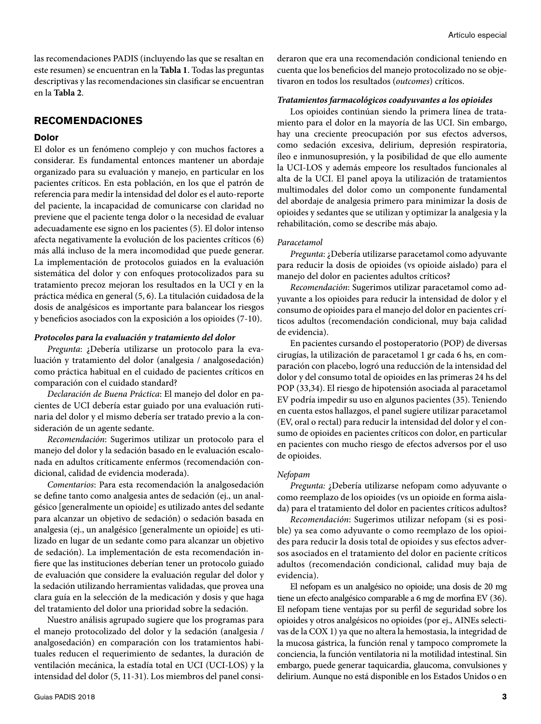las recomendaciones PADIS (incluyendo las que se resaltan en este resumen) se encuentran en la **Tabla 1**. Todas las preguntas descriptivas y las recomendaciones sin clasificar se encuentran en la **Tabla 2**.

#### **RECOMENDACIONES**

#### **Dolor**

El dolor es un fenómeno complejo y con muchos factores a considerar. Es fundamental entonces mantener un abordaje organizado para su evaluación y manejo, en particular en los pacientes críticos. En esta población, en los que el patrón de referencia para medir la intensidad del dolor es el auto-reporte del paciente, la incapacidad de comunicarse con claridad no previene que el paciente tenga dolor o la necesidad de evaluar adecuadamente ese signo en los pacientes (5). El dolor intenso afecta negativamente la evolución de los pacientes críticos (6) más allá incluso de la mera incomodidad que puede generar. La implementación de protocolos guiados en la evaluación sistemática del dolor y con enfoques protocolizados para su tratamiento precoz mejoran los resultados en la UCI y en la práctica médica en general (5, 6). La titulación cuidadosa de la dosis de analgésicos es importante para balancear los riesgos y beneficios asociados con la exposición a los opioides (7-10).

#### *Protocolos para la evaluación y tratamiento del dolor*

*Pregunta*: ¿Debería utilizarse un protocolo para la evaluación y tratamiento del dolor (analgesia / analgosedación) como práctica habitual en el cuidado de pacientes críticos en comparación con el cuidado standard?

*Declaración de Buena Práctica*: El manejo del dolor en pacientes de UCI debería estar guiado por una evaluación rutinaria del dolor y el mismo debería ser tratado previo a la consideración de un agente sedante.

*Recomendación*: Sugerimos utilizar un protocolo para el manejo del dolor y la sedación basado en le evaluación escalonada en adultos críticamente enfermos (recomendación condicional, calidad de evidencia moderada).

*Comentarios*: Para esta recomendación la analgosedación se define tanto como analgesia antes de sedación (ej., un analgésico [generalmente un opioide] es utilizado antes del sedante para alcanzar un objetivo de sedación) o sedación basada en analgesia (ej., un analgésico [generalmente un opioide] es utilizado en lugar de un sedante como para alcanzar un objetivo de sedación). La implementación de esta recomendación infiere que las instituciones deberían tener un protocolo guiado de evaluación que considere la evaluación regular del dolor y la sedación utilizando herramientas validadas, que provea una clara guía en la selección de la medicación y dosis y que haga del tratamiento del dolor una prioridad sobre la sedación.

Nuestro análisis agrupado sugiere que los programas para el manejo protocolizado del dolor y la sedación (analgesia / analgosedación) en comparación con los tratamientos habituales reducen el requerimiento de sedantes, la duración de ventilación mecánica, la estadía total en UCI (UCI-LOS) y la intensidad del dolor (5, 11-31). Los miembros del panel consideraron que era una recomendación condicional teniendo en cuenta que los beneficios del manejo protocolizado no se objetivaron en todos los resultados (*outcomes*) críticos.

#### *Tratamientos farmacológicos coadyuvantes a los opioides*

Los opioides continúan siendo la primera línea de tratamiento para el dolor en la mayoría de las UCI. Sin embargo, hay una creciente preocupación por sus efectos adversos, como sedación excesiva, delirium, depresión respiratoria, íleo e inmunosupresión, y la posibilidad de que ello aumente la UCI-LOS y además empeore los resultados funcionales al alta de la UCI. El panel apoya la utilización de tratamientos multimodales del dolor como un componente fundamental del abordaje de analgesia primero para minimizar la dosis de opioides y sedantes que se utilizan y optimizar la analgesia y la rehabilitación, como se describe más abajo.

#### *Paracetamol*

*Pregunta*: ¿Debería utilizarse paracetamol como adyuvante para reducir la dosis de opioides (vs opioide aislado) para el manejo del dolor en pacientes adultos críticos?

*Recomendación*: Sugerimos utilizar paracetamol como adyuvante a los opioides para reducir la intensidad de dolor y el consumo de opioides para el manejo del dolor en pacientes críticos adultos (recomendación condicional, muy baja calidad de evidencia).

En pacientes cursando el postoperatorio (POP) de diversas cirugías, la utilización de paracetamol 1 gr cada 6 hs, en comparación con placebo, logró una reducción de la intensidad del dolor y del consumo total de opioides en las primeras 24 hs del POP (33,34). El riesgo de hipotensión asociada al paracetamol EV podría impedir su uso en algunos pacientes (35). Teniendo en cuenta estos hallazgos, el panel sugiere utilizar paracetamol (EV, oral o rectal) para reducir la intensidad del dolor y el consumo de opioides en pacientes críticos con dolor, en particular en pacientes con mucho riesgo de efectos adversos por el uso de opioides.

#### *Nefopam*

*Pregunta:* ¿Debería utilizarse nefopam como adyuvante o como reemplazo de los opioides (vs un opioide en forma aislada) para el tratamiento del dolor en pacientes críticos adultos?

*Recomendación*: Sugerimos utilizar nefopam (si es posible) ya sea como adyuvante o como reemplazo de los opioides para reducir la dosis total de opioides y sus efectos adversos asociados en el tratamiento del dolor en paciente críticos adultos (recomendación condicional, calidad muy baja de evidencia).

El nefopam es un analgésico no opioide; una dosis de 20 mg tiene un efecto analgésico comparable a 6 mg de morfina EV (36). El nefopam tiene ventajas por su perfil de seguridad sobre los opioides y otros analgésicos no opioides (por ej., AINEs selectivas de la COX 1) ya que no altera la hemostasia, la integridad de la mucosa gástrica, la función renal y tampoco compromete la conciencia, la función ventilatoria ni la motilidad intestinal. Sin embargo, puede generar taquicardia, glaucoma, convulsiones y delirium. Aunque no está disponible en los Estados Unidos o en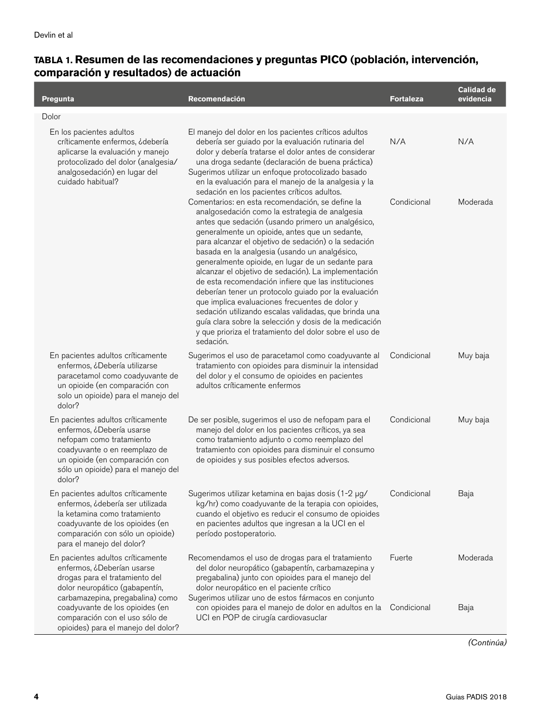| Pregunta                                                                                                                                                                                                       | Recomendación                                                                                                                                                                                                                                                                                                                                                                                                                                                                                                                                                                                                                                                                                                                                                                               | <b>Fortaleza</b> | <b>Calidad de</b><br>evidencia |
|----------------------------------------------------------------------------------------------------------------------------------------------------------------------------------------------------------------|---------------------------------------------------------------------------------------------------------------------------------------------------------------------------------------------------------------------------------------------------------------------------------------------------------------------------------------------------------------------------------------------------------------------------------------------------------------------------------------------------------------------------------------------------------------------------------------------------------------------------------------------------------------------------------------------------------------------------------------------------------------------------------------------|------------------|--------------------------------|
| Dolor                                                                                                                                                                                                          |                                                                                                                                                                                                                                                                                                                                                                                                                                                                                                                                                                                                                                                                                                                                                                                             |                  |                                |
| En los pacientes adultos<br>críticamente enfermos, ¿debería<br>aplicarse la evaluación y manejo<br>protocolizado del dolor (analgesia/<br>analgosedación) en lugar del<br>cuidado habitual?                    | El manejo del dolor en los pacientes críticos adultos<br>debería ser guiado por la evaluación rutinaria del<br>dolor y debería tratarse el dolor antes de considerar<br>una droga sedante (declaración de buena práctica)<br>Sugerimos utilizar un enfoque protocolizado basado<br>en la evaluación para el manejo de la analgesia y la<br>sedación en los pacientes críticos adultos.                                                                                                                                                                                                                                                                                                                                                                                                      | N/A              | N/A                            |
|                                                                                                                                                                                                                | Comentarios: en esta recomendación, se define la<br>analgosedación como la estrategia de analgesia<br>antes que sedación (usando primero un analgésico,<br>generalmente un opioide, antes que un sedante,<br>para alcanzar el objetivo de sedación) o la sedación<br>basada en la analgesia (usando un analgésico,<br>generalmente opioide, en lugar de un sedante para<br>alcanzar el objetivo de sedación). La implementación<br>de esta recomendación infiere que las instituciones<br>deberían tener un protocolo guiado por la evaluación<br>que implica evaluaciones frecuentes de dolor y<br>sedación utilizando escalas validadas, que brinda una<br>guía clara sobre la selección y dosis de la medicación<br>y que prioriza el tratamiento del dolor sobre el uso de<br>sedación. | Condicional      | Moderada                       |
| En pacientes adultos críticamente<br>enfermos, ¿Debería utilizarse<br>paracetamol como coadyuvante de<br>un opioide (en comparación con<br>solo un opioide) para el manejo del<br>dolor?                       | Sugerimos el uso de paracetamol como coadyuvante al<br>tratamiento con opioides para disminuir la intensidad<br>del dolor y el consumo de opioides en pacientes<br>adultos críticamente enfermos                                                                                                                                                                                                                                                                                                                                                                                                                                                                                                                                                                                            | Condicional      | Muy baja                       |
| En pacientes adultos críticamente<br>enfermos, ¿Debería usarse<br>nefopam como tratamiento<br>coadyuvante o en reemplazo de<br>un opioide (en comparación con<br>sólo un opioide) para el manejo del<br>dolor? | De ser posible, sugerimos el uso de nefopam para el<br>manejo del dolor en los pacientes críticos, ya sea<br>como tratamiento adjunto o como reemplazo del<br>tratamiento con opioides para disminuir el consumo<br>de opioides y sus posibles efectos adversos.                                                                                                                                                                                                                                                                                                                                                                                                                                                                                                                            | Condicional      | Muy baja                       |
| En pacientes adultos críticamente<br>enfermos, ¿debería ser utilizada<br>la ketamina como tratamiento<br>coadyuvante de los opioides (en<br>comparación con sólo un opioide)<br>para el manejo del dolor?      | Sugerimos utilizar ketamina en bajas dosis (1-2 µg/<br>kg/hr) como coadyuvante de la terapia con opioides,<br>cuando el objetivo es reducir el consumo de opioides<br>en pacientes adultos que ingresan a la UCI en el<br>período postoperatorio.                                                                                                                                                                                                                                                                                                                                                                                                                                                                                                                                           | Condicional      | Baja                           |
| En pacientes adultos críticamente<br>enfermos, ¿Deberían usarse<br>drogas para el tratamiento del<br>dolor neuropático (gabapentín,<br>carbamazepina, pregabalina) como                                        | Recomendamos el uso de drogas para el tratamiento<br>del dolor neuropático (gabapentín, carbamazepina y<br>pregabalina) junto con opioides para el manejo del<br>dolor neuropático en el paciente crítico<br>Sugerimos utilizar uno de estos fármacos en conjunto                                                                                                                                                                                                                                                                                                                                                                                                                                                                                                                           | Fuerte           | Moderada                       |
| coadyuvante de los opioides (en<br>comparación con el uso sólo de<br>opioides) para el manejo del dolor?                                                                                                       | con opioides para el manejo de dolor en adultos en la<br>UCI en POP de cirugía cardiovasuclar                                                                                                                                                                                                                                                                                                                                                                                                                                                                                                                                                                                                                                                                                               | Condicional      | Baja                           |

*(Continúa)*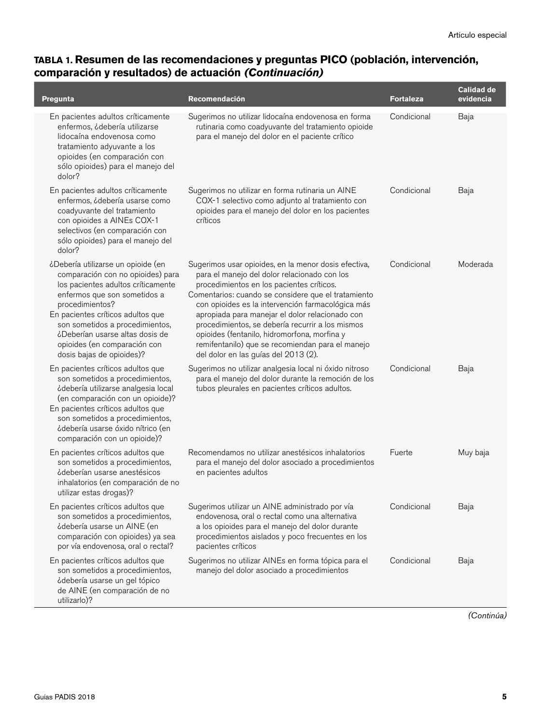| Pregunta                                                                                                                                                                                                                                                                                                                                 | Recomendación                                                                                                                                                                                                                                                                                                                                                                                                                                                                                                    | <b>Fortaleza</b> | <b>Calidad de</b><br>evidencia |
|------------------------------------------------------------------------------------------------------------------------------------------------------------------------------------------------------------------------------------------------------------------------------------------------------------------------------------------|------------------------------------------------------------------------------------------------------------------------------------------------------------------------------------------------------------------------------------------------------------------------------------------------------------------------------------------------------------------------------------------------------------------------------------------------------------------------------------------------------------------|------------------|--------------------------------|
| En pacientes adultos críticamente<br>enfermos, ¿debería utilizarse<br>lidocaína endovenosa como<br>tratamiento adyuvante a los<br>opioides (en comparación con<br>sólo opioides) para el manejo del<br>dolor?                                                                                                                            | Sugerimos no utilizar lidocaína endovenosa en forma<br>rutinaria como coadyuvante del tratamiento opioide<br>para el manejo del dolor en el paciente crítico                                                                                                                                                                                                                                                                                                                                                     | Condicional      | Baja                           |
| En pacientes adultos críticamente<br>enfermos, ¿debería usarse como<br>coadyuvante del tratamiento<br>con opioides a AINEs COX-1<br>selectivos (en comparación con<br>sólo opioides) para el manejo del<br>dolor?                                                                                                                        | Sugerimos no utilizar en forma rutinaria un AINE<br>COX-1 selectivo como adjunto al tratamiento con<br>opioides para el manejo del dolor en los pacientes<br>críticos                                                                                                                                                                                                                                                                                                                                            | Condicional      | Baja                           |
| ¿Debería utilizarse un opioide (en<br>comparación con no opioides) para<br>los pacientes adultos críticamente<br>enfermos que son sometidos a<br>procedimientos?<br>En pacientes críticos adultos que<br>son sometidos a procedimientos,<br>¿Deberían usarse altas dosis de<br>opioides (en comparación con<br>dosis bajas de opioides)? | Sugerimos usar opioides, en la menor dosis efectiva,<br>para el manejo del dolor relacionado con los<br>procedimientos en los pacientes críticos.<br>Comentarios: cuando se considere que el tratamiento<br>con opioides es la intervención farmacológica más<br>apropiada para manejar el dolor relacionado con<br>procedimientos, se debería recurrir a los mismos<br>opioides (fentanilo, hidromorfona, morfina y<br>remifentanilo) que se recomiendan para el manejo<br>del dolor en las guías del 2013 (2). | Condicional      | Moderada                       |
| En pacientes críticos adultos que<br>son sometidos a procedimientos,<br>¿debería utilizarse analgesia local<br>(en comparación con un opioide)?<br>En pacientes críticos adultos que<br>son sometidos a procedimientos,<br>¿debería usarse óxido nítrico (en<br>comparación con un opioide)?                                             | Sugerimos no utilizar analgesia local ni óxido nitroso<br>para el manejo del dolor durante la remoción de los<br>tubos pleurales en pacientes críticos adultos.                                                                                                                                                                                                                                                                                                                                                  | Condicional      | Baja                           |
| En pacientes críticos adultos que<br>son sometidos a procedimientos,<br>¿deberían usarse anestésicos<br>inhalatorios (en comparación de no<br>utilizar estas drogas)?                                                                                                                                                                    | Recomendamos no utilizar anestésicos inhalatorios<br>para el manejo del dolor asociado a procedimientos<br>en pacientes adultos                                                                                                                                                                                                                                                                                                                                                                                  | Fuerte           | Muy baja                       |
| En pacientes críticos adultos que<br>son sometidos a procedimientos,<br>¿debería usarse un AINE (en<br>comparación con opioides) ya sea<br>por vía endovenosa, oral o rectal?                                                                                                                                                            | Sugerimos utilizar un AINE administrado por vía<br>endovenosa, oral o rectal como una alternativa<br>a los opioides para el manejo del dolor durante<br>procedimientos aislados y poco frecuentes en los<br>pacientes críticos                                                                                                                                                                                                                                                                                   | Condicional      | Baja                           |
| En pacientes críticos adultos que<br>son sometidos a procedimientos,<br>¿debería usarse un gel tópico<br>de AINE (en comparación de no<br>utilizarlo)?                                                                                                                                                                                   | Sugerimos no utilizar AINEs en forma tópica para el<br>manejo del dolor asociado a procedimientos                                                                                                                                                                                                                                                                                                                                                                                                                | Condicional      | Baja                           |

*(Continúa)*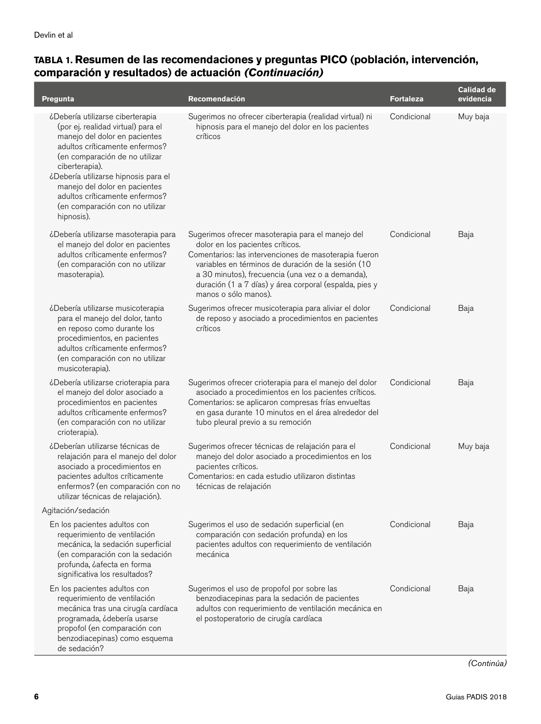| Pregunta                                                                                                                                                                                                                                                                                                                                                  | Recomendación                                                                                                                                                                                                                                                                                                                             | <b>Fortaleza</b> | <b>Calidad de</b><br>evidencia |
|-----------------------------------------------------------------------------------------------------------------------------------------------------------------------------------------------------------------------------------------------------------------------------------------------------------------------------------------------------------|-------------------------------------------------------------------------------------------------------------------------------------------------------------------------------------------------------------------------------------------------------------------------------------------------------------------------------------------|------------------|--------------------------------|
| ¿Debería utilizarse ciberterapia<br>(por ej. realidad virtual) para el<br>manejo del dolor en pacientes<br>adultos críticamente enfermos?<br>(en comparación de no utilizar<br>ciberterapia).<br>¿Debería utilizarse hipnosis para el<br>manejo del dolor en pacientes<br>adultos críticamente enfermos?<br>(en comparación con no utilizar<br>hipnosis). | Sugerimos no ofrecer ciberterapia (realidad virtual) ni<br>hipnosis para el manejo del dolor en los pacientes<br>críticos                                                                                                                                                                                                                 | Condicional      | Muy baja                       |
| ¿Debería utilizarse masoterapia para<br>el manejo del dolor en pacientes<br>adultos críticamente enfermos?<br>(en comparación con no utilizar<br>masoterapia).                                                                                                                                                                                            | Sugerimos ofrecer masoterapia para el manejo del<br>dolor en los pacientes críticos.<br>Comentarios: las intervenciones de masoterapia fueron<br>variables en términos de duración de la sesión (10<br>a 30 minutos), frecuencia (una vez o a demanda),<br>duración (1 a 7 días) y área corporal (espalda, pies y<br>manos o sólo manos). | Condicional      | Baja                           |
| ¿Debería utilizarse musicoterapia<br>para el manejo del dolor, tanto<br>en reposo como durante los<br>procedimientos, en pacientes<br>adultos críticamente enfermos?<br>(en comparación con no utilizar<br>musicoterapia).                                                                                                                                | Sugerimos ofrecer musicoterapia para aliviar el dolor<br>de reposo y asociado a procedimientos en pacientes<br>críticos                                                                                                                                                                                                                   | Condicional      | Baja                           |
| ¿Debería utilizarse crioterapia para<br>el manejo del dolor asociado a<br>procedimientos en pacientes<br>adultos críticamente enfermos?<br>(en comparación con no utilizar<br>crioterapia).                                                                                                                                                               | Sugerimos ofrecer crioterapia para el manejo del dolor<br>asociado a procedimientos en los pacientes críticos.<br>Comentarios: se aplicaron compresas frías envueltas<br>en gasa durante 10 minutos en el área alrededor del<br>tubo pleural previo a su remoción                                                                         | Condicional      | Baja                           |
| ¿Deberían utilizarse técnicas de<br>relajación para el manejo del dolor<br>asociado a procedimientos en<br>pacientes adultos críticamente<br>enfermos? (en comparación con no<br>utilizar técnicas de relajación).                                                                                                                                        | Sugerimos ofrecer técnicas de relajación para el<br>manejo del dolor asociado a procedimientos en los<br>pacientes críticos.<br>Comentarios: en cada estudio utilizaron distintas<br>técnicas de relajación                                                                                                                               | Condicional      | Muy baja                       |
| Agitación/sedación                                                                                                                                                                                                                                                                                                                                        |                                                                                                                                                                                                                                                                                                                                           |                  |                                |
| En los pacientes adultos con<br>requerimiento de ventilación<br>mecánica, la sedación superficial<br>(en comparación con la sedación<br>profunda, cafecta en forma<br>significativa los resultados?                                                                                                                                                       | Sugerimos el uso de sedación superficial (en<br>comparación con sedación profunda) en los<br>pacientes adultos con requerimiento de ventilación<br>mecánica                                                                                                                                                                               | Condicional      | Baja                           |
| En los pacientes adultos con<br>requerimiento de ventilación<br>mecánica tras una cirugía cardíaca<br>programada, ¿debería usarse<br>propofol (en comparación con<br>benzodiacepinas) como esquema<br>de sedación?                                                                                                                                        | Sugerimos el uso de propofol por sobre las<br>benzodiacepinas para la sedación de pacientes<br>adultos con requerimiento de ventilación mecánica en<br>el postoperatorio de cirugía cardíaca                                                                                                                                              | Condicional      | Baja                           |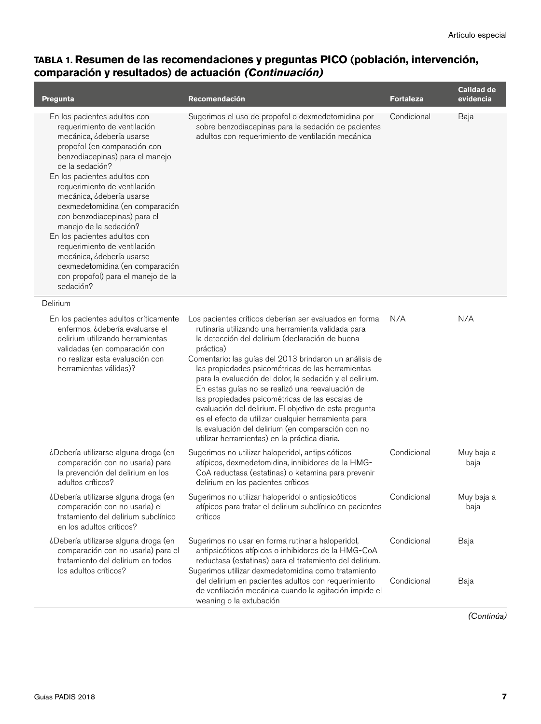| <b>Pregunta</b>                                                                                                                                                                                                                                                                                                                                                                                                                                                                                                                                              | Recomendación                                                                                                                                                                                                                                                                                                                                                                                                                                                                                                                                                                                                                                                                         | <b>Fortaleza</b>           | <b>Calidad de</b><br>evidencia |
|--------------------------------------------------------------------------------------------------------------------------------------------------------------------------------------------------------------------------------------------------------------------------------------------------------------------------------------------------------------------------------------------------------------------------------------------------------------------------------------------------------------------------------------------------------------|---------------------------------------------------------------------------------------------------------------------------------------------------------------------------------------------------------------------------------------------------------------------------------------------------------------------------------------------------------------------------------------------------------------------------------------------------------------------------------------------------------------------------------------------------------------------------------------------------------------------------------------------------------------------------------------|----------------------------|--------------------------------|
| En los pacientes adultos con<br>requerimiento de ventilación<br>mecánica, ¿debería usarse<br>propofol (en comparación con<br>benzodiacepinas) para el manejo<br>de la sedación?<br>En los pacientes adultos con<br>requerimiento de ventilación<br>mecánica, ¿debería usarse<br>dexmedetomidina (en comparación<br>con benzodiacepinas) para el<br>manejo de la sedación?<br>En los pacientes adultos con<br>requerimiento de ventilación<br>mecánica, ¿debería usarse<br>dexmedetomidina (en comparación<br>con propofol) para el manejo de la<br>sedación? | Sugerimos el uso de propofol o dexmedetomidina por<br>sobre benzodiacepinas para la sedación de pacientes<br>adultos con requerimiento de ventilación mecánica                                                                                                                                                                                                                                                                                                                                                                                                                                                                                                                        | Condicional                | Baja                           |
| Delirium                                                                                                                                                                                                                                                                                                                                                                                                                                                                                                                                                     |                                                                                                                                                                                                                                                                                                                                                                                                                                                                                                                                                                                                                                                                                       |                            |                                |
| En los pacientes adultos críticamente<br>enfermos, ¿debería evaluarse el<br>delirium utilizando herramientas<br>validadas (en comparación con<br>no realizar esta evaluación con<br>herramientas válidas)?                                                                                                                                                                                                                                                                                                                                                   | Los pacientes críticos deberían ser evaluados en forma<br>rutinaria utilizando una herramienta validada para<br>la detección del delirium (declaración de buena<br>práctica)<br>Comentario: las guías del 2013 brindaron un análisis de<br>las propiedades psicométricas de las herramientas<br>para la evaluación del dolor, la sedación y el delirium.<br>En estas guías no se realizó una reevaluación de<br>las propiedades psicométricas de las escalas de<br>evaluación del delirium. El objetivo de esta pregunta<br>es el efecto de utilizar cualquier herramienta para<br>la evaluación del delirium (en comparación con no<br>utilizar herramientas) en la práctica diaria. | N/A                        | N/A                            |
| ¿Debería utilizarse alguna droga (en<br>comparación con no usarla) para<br>la prevención del delirium en los<br>adultos críticos?                                                                                                                                                                                                                                                                                                                                                                                                                            | Sugerimos no utilizar haloperidol, antipsicóticos<br>atípicos, dexmedetomidina, inhibidores de la HMG-<br>CoA reductasa (estatinas) o ketamina para prevenir<br>delirium en los pacientes críticos                                                                                                                                                                                                                                                                                                                                                                                                                                                                                    | Condicional                | Muy baja a<br>baja             |
| ¿Debería utilizarse alguna droga (en<br>comparación con no usarla) el<br>tratamiento del delirium subclínico<br>en los adultos críticos?                                                                                                                                                                                                                                                                                                                                                                                                                     | Sugerimos no utilizar haloperidol o antipsicóticos<br>atípicos para tratar el delirium subclínico en pacientes<br>críticos                                                                                                                                                                                                                                                                                                                                                                                                                                                                                                                                                            | Condicional                | Muy baja a<br>baja             |
| ¿Debería utilizarse alguna droga (en<br>comparación con no usarla) para el<br>tratamiento del delirium en todos<br>los adultos críticos?                                                                                                                                                                                                                                                                                                                                                                                                                     | Sugerimos no usar en forma rutinaria haloperidol,<br>antipsicóticos atípicos o inhibidores de la HMG-CoA<br>reductasa (estatinas) para el tratamiento del delirium.<br>Sugerimos utilizar dexmedetomidina como tratamiento<br>del delirium en pacientes adultos con requerimiento<br>de ventilación mecánica cuando la agitación impide el                                                                                                                                                                                                                                                                                                                                            | Condicional<br>Condicional | Baja<br>Baja                   |
|                                                                                                                                                                                                                                                                                                                                                                                                                                                                                                                                                              | weaning o la extubación                                                                                                                                                                                                                                                                                                                                                                                                                                                                                                                                                                                                                                                               |                            |                                |

*(Continúa)*

 $\overline{\phantom{a}}$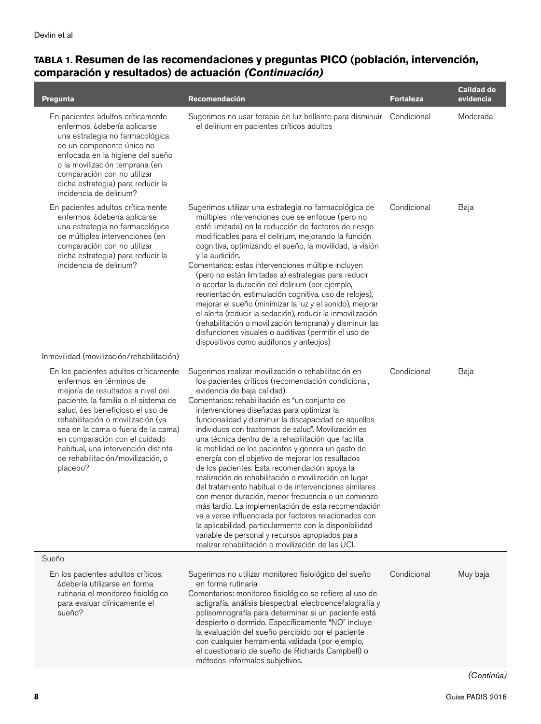| Pregunta                                                                                                                                                                                                                                                                                                                                                                               | Recomendación                                                                                                                                                                                                                                                                                                                                                                                                                                                                                                                                                                                                                                                                                                                                                                                                                                                                                                                                                                                                                              | <b>Fortaleza</b> | <b>Calidad de</b><br>evidencia |
|----------------------------------------------------------------------------------------------------------------------------------------------------------------------------------------------------------------------------------------------------------------------------------------------------------------------------------------------------------------------------------------|--------------------------------------------------------------------------------------------------------------------------------------------------------------------------------------------------------------------------------------------------------------------------------------------------------------------------------------------------------------------------------------------------------------------------------------------------------------------------------------------------------------------------------------------------------------------------------------------------------------------------------------------------------------------------------------------------------------------------------------------------------------------------------------------------------------------------------------------------------------------------------------------------------------------------------------------------------------------------------------------------------------------------------------------|------------------|--------------------------------|
| En pacientes adultos críticamente<br>enfermos, ¿debería aplicarse<br>una estrategia no farmacológica<br>de un componente único no<br>enfocada en la higiene del sueño<br>o la movilización temprana (en<br>comparación con no utilizar<br>dicha estrategia) para reducir la<br>incidencia de delirium?                                                                                 | Sugerimos no usar terapia de luz brillante para disminuir Condicional<br>el delirium en pacientes críticos adultos                                                                                                                                                                                                                                                                                                                                                                                                                                                                                                                                                                                                                                                                                                                                                                                                                                                                                                                         |                  | Moderada                       |
| En pacientes adultos críticamente<br>enfermos, ¿debería aplicarse<br>una estrategia no farmacológica<br>de múltiples intervenciones (en<br>comparación con no utilizar<br>dicha estrategia) para reducir la<br>incidencia de delirium?                                                                                                                                                 | Sugerimos utilizar una estrategia no farmacológica de<br>múltiples intervenciones que se enfoque (pero no<br>esté limitada) en la reducción de factores de riesgo<br>modificables para el delirium, mejorando la función<br>cognitiva, optimizando el sueño, la movilidad, la visión<br>y la audición.<br>Comentarios: estas intervenciones múltiple incluyen<br>(pero no están limitadas a) estrategias para reducir<br>o acortar la duración del delirium (por ejemplo,<br>reorientación, estimulación cognitiva, uso de relojes),<br>mejorar el sueño (minimizar la luz y el sonido), mejorar<br>el alerta (reducir la sedación), reducir la inmovilización<br>(rehabilitación o movilización temprana) y disminuir las<br>disfunciones visuales o auditivas (permitir el uso de<br>dispositivos como audífonos y anteojos)                                                                                                                                                                                                             | Condicional      | Baja                           |
| Inmovilidad (movilización/rehabilitación)                                                                                                                                                                                                                                                                                                                                              |                                                                                                                                                                                                                                                                                                                                                                                                                                                                                                                                                                                                                                                                                                                                                                                                                                                                                                                                                                                                                                            |                  |                                |
| En los pacientes adultos críticamente<br>enfermos, en términos de<br>mejoría de resultados a nivel del<br>paciente, la familia o el sistema de<br>salud, ¿es beneficioso el uso de<br>rehabilitación o movilización (ya<br>sea en la cama o fuera de la cama)<br>en comparación con el cuidado<br>habitual, una intervención distinta<br>de rehabilitación/movilización, o<br>placebo? | Sugerimos realizar movilización o rehabilitación en<br>los pacientes críticos (recomendación condicional,<br>evidencia de baja calidad).<br>Comentarios: rehabilitación es "un conjunto de<br>intervenciones diseñadas para optimizar la<br>funcionalidad y disminuir la discapacidad de aquellos<br>individuos con trastornos de salud". Movilización es<br>una técnica dentro de la rehabilitación que facilita<br>la motilidad de los pacientes y genera un gasto de<br>energía con el objetivo de mejorar los resultados<br>de los pacientes. Esta recomendación apoya la<br>realización de rehabilitación o movilización en lugar<br>del tratamiento habitual o de intervenciones similares<br>con menor duración, menor frecuencia o un comienzo<br>más tardío. La implementación de esta recomendación<br>va a verse influenciada por factores relacionados con<br>la aplicabilidad, particularmente con la disponibilidad<br>variable de personal y recursos apropiados para<br>realizar rehabilitación o movilización de las UCI. | Condicional      | Baja                           |
| Sueño                                                                                                                                                                                                                                                                                                                                                                                  |                                                                                                                                                                                                                                                                                                                                                                                                                                                                                                                                                                                                                                                                                                                                                                                                                                                                                                                                                                                                                                            |                  |                                |
| En los pacientes adultos críticos,<br>¿debería utilizarse en forma<br>rutinaria el monitoreo fisiológico<br>para evaluar clínicamente el<br>sueño?                                                                                                                                                                                                                                     | Sugerimos no utilizar monitoreo fisiológico del sueño<br>en forma rutinaria<br>Comentarios: monitoreo fisiológico se refiere al uso de<br>actigrafía, análisis biespectral, electroencefalografía y<br>polisomnografía para determinar si un paciente está<br>despierto o dormido. Específicamente "NO" incluye<br>la evaluación del sueño percibido por el paciente<br>con cualquier herramienta validada (por ejemplo,<br>el cuestionario de sueño de Richards Campbell) o<br>métodos informales subjetivos.                                                                                                                                                                                                                                                                                                                                                                                                                                                                                                                             | Condicional      | Muy baja                       |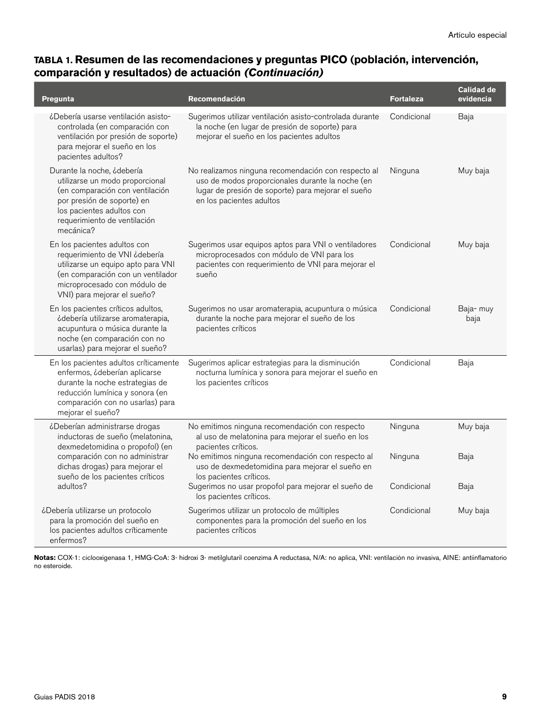| Pregunta                                                                                                                                                                                                 | Recomendación                                                                                                                                                                             | <b>Fortaleza</b> | <b>Calidad de</b><br>evidencia |
|----------------------------------------------------------------------------------------------------------------------------------------------------------------------------------------------------------|-------------------------------------------------------------------------------------------------------------------------------------------------------------------------------------------|------------------|--------------------------------|
| ¿Debería usarse ventilación asisto-<br>controlada (en comparación con<br>ventilación por presión de soporte)<br>para mejorar el sueño en los<br>pacientes adultos?                                       | Sugerimos utilizar ventilación asisto-controlada durante<br>la noche (en lugar de presión de soporte) para<br>mejorar el sueño en los pacientes adultos                                   | Condicional      | Baja                           |
| Durante la noche, ¿debería<br>utilizarse un modo proporcional<br>(en comparación con ventilación<br>por presión de soporte) en<br>los pacientes adultos con<br>requerimiento de ventilación<br>mecánica? | No realizamos ninguna recomendación con respecto al<br>uso de modos proporcionales durante la noche (en<br>lugar de presión de soporte) para mejorar el sueño<br>en los pacientes adultos | Ninguna          | Muy baja                       |
| En los pacientes adultos con<br>requerimiento de VNI ¿debería<br>utilizarse un equipo apto para VNI<br>(en comparación con un ventilador<br>microprocesado con módulo de<br>VNI) para mejorar el sueño?  | Sugerimos usar equipos aptos para VNI o ventiladores<br>microprocesados con módulo de VNI para los<br>pacientes con requerimiento de VNI para mejorar el<br>sueño                         | Condicional      | Muy baja                       |
| En los pacientes críticos adultos,<br>¿debería utilizarse aromaterapia,<br>acupuntura o música durante la<br>noche (en comparación con no<br>usarlas) para mejorar el sueño?                             | Sugerimos no usar aromaterapia, acupuntura o música<br>durante la noche para mejorar el sueño de los<br>pacientes críticos                                                                | Condicional      | Baja- muy<br>baja              |
| En los pacientes adultos críticamente<br>enfermos, ¿deberían aplicarse<br>durante la noche estrategias de<br>reducción lumínica y sonora (en<br>comparación con no usarlas) para<br>mejorar el sueño?    | Sugerimos aplicar estrategias para la disminución<br>nocturna lumínica y sonora para mejorar el sueño en<br>los pacientes críticos                                                        | Condicional      | Baja                           |
| ¿Deberían administrarse drogas<br>inductoras de sueño (melatonina,<br>dexmedetomidina o propofol) (en                                                                                                    | No emitimos ninguna recomendación con respecto<br>al uso de melatonina para mejorar el sueño en los<br>pacientes críticos.                                                                | Ninguna          | Muy baja                       |
| comparación con no administrar<br>dichas drogas) para mejorar el<br>sueño de los pacientes críticos                                                                                                      | No emitimos ninguna recomendación con respecto al<br>uso de dexmedetomidina para mejorar el sueño en<br>los pacientes críticos.                                                           | Ninguna          | Baja                           |
| adultos?                                                                                                                                                                                                 | Sugerimos no usar propofol para mejorar el sueño de<br>los pacientes críticos.                                                                                                            | Condicional      | Baja                           |
| ¿Debería utilizarse un protocolo<br>para la promoción del sueño en<br>los pacientes adultos críticamente<br>enfermos?                                                                                    | Sugerimos utilizar un protocolo de múltiples<br>componentes para la promoción del sueño en los<br>pacientes críticos                                                                      | Condicional      | Muy baja                       |

**Notas:** COX-1: ciclooxigenasa 1, HMG-CoA: 3- hidroxi 3- metilglutaril coenzima A reductasa, N/A: no aplica, VNI: ventilación no invasiva, AINE: antiinflamatorio no esteroide.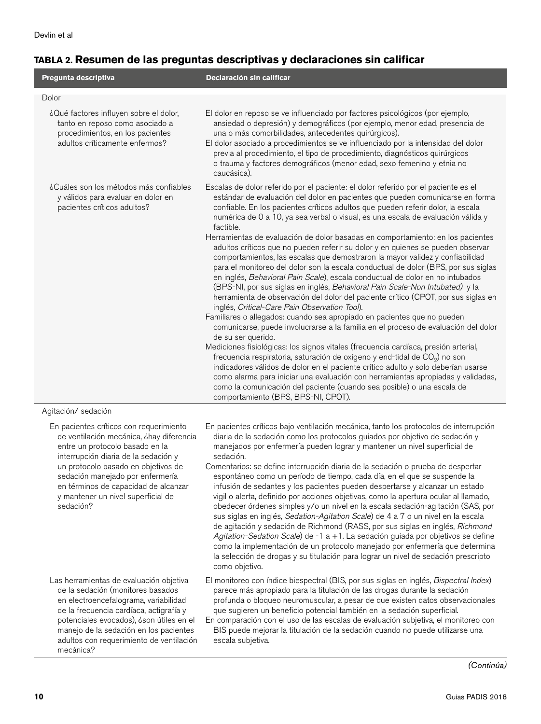I

## **TABLA 2. Resumen de las preguntas descriptivas y declaraciones sin calificar**

| Pregunta descriptiva                                                                                                                                                                                                                                                                                                                 | Declaración sin calificar                                                                                                                                                                                                                                                                                                                                                                                                                                                                                                                                                                                                                                                                                                                                                                                                                                                                                                                                                                                                                                                                                                                                                                                                                                                                                                                                                                                                                                                                                                                                                                                                                                                       |
|--------------------------------------------------------------------------------------------------------------------------------------------------------------------------------------------------------------------------------------------------------------------------------------------------------------------------------------|---------------------------------------------------------------------------------------------------------------------------------------------------------------------------------------------------------------------------------------------------------------------------------------------------------------------------------------------------------------------------------------------------------------------------------------------------------------------------------------------------------------------------------------------------------------------------------------------------------------------------------------------------------------------------------------------------------------------------------------------------------------------------------------------------------------------------------------------------------------------------------------------------------------------------------------------------------------------------------------------------------------------------------------------------------------------------------------------------------------------------------------------------------------------------------------------------------------------------------------------------------------------------------------------------------------------------------------------------------------------------------------------------------------------------------------------------------------------------------------------------------------------------------------------------------------------------------------------------------------------------------------------------------------------------------|
| Dolor                                                                                                                                                                                                                                                                                                                                |                                                                                                                                                                                                                                                                                                                                                                                                                                                                                                                                                                                                                                                                                                                                                                                                                                                                                                                                                                                                                                                                                                                                                                                                                                                                                                                                                                                                                                                                                                                                                                                                                                                                                 |
| ¿Qué factores influyen sobre el dolor,<br>tanto en reposo como asociado a<br>procedimientos, en los pacientes<br>adultos críticamente enfermos?                                                                                                                                                                                      | El dolor en reposo se ve influenciado por factores psicológicos (por ejemplo,<br>ansiedad o depresión) y demográficos (por ejemplo, menor edad, presencia de<br>una o más comorbilidades, antecedentes quirúrgicos).<br>El dolor asociado a procedimientos se ve influenciado por la intensidad del dolor<br>previa al procedimiento, el tipo de procedimiento, diagnósticos quirúrgicos<br>o trauma y factores demográficos (menor edad, sexo femenino y etnia no<br>caucásica).                                                                                                                                                                                                                                                                                                                                                                                                                                                                                                                                                                                                                                                                                                                                                                                                                                                                                                                                                                                                                                                                                                                                                                                               |
| ¿Cuáles son los métodos más confiables<br>y válidos para evaluar en dolor en<br>pacientes críticos adultos?                                                                                                                                                                                                                          | Escalas de dolor referido por el paciente: el dolor referido por el paciente es el<br>estándar de evaluación del dolor en pacientes que pueden comunicarse en forma<br>confiable. En los pacientes críticos adultos que pueden referir dolor, la escala<br>numérica de 0 a 10, ya sea verbal o visual, es una escala de evaluación válida y<br>factible.<br>Herramientas de evaluación de dolor basadas en comportamiento: en los pacientes<br>adultos críticos que no pueden referir su dolor y en quienes se pueden observar<br>comportamientos, las escalas que demostraron la mayor validez y confiabilidad<br>para el monitoreo del dolor son la escala conductual de dolor (BPS, por sus siglas<br>en inglés, Behavioral Pain Scale), escala conductual de dolor en no intubados<br>(BPS-NI, por sus siglas en inglés, Behavioral Pain Scale-Non Intubated) y la<br>herramienta de observación del dolor del paciente crítico (CPOT, por sus siglas en<br>inglés, Critical-Care Pain Observation Tool).<br>Familiares o allegados: cuando sea apropiado en pacientes que no pueden<br>comunicarse, puede involucrarse a la familia en el proceso de evaluación del dolor<br>de su ser querido.<br>Mediciones fisiológicas: los signos vitales (frecuencia cardíaca, presión arterial,<br>frecuencia respiratoria, saturación de oxígeno y end-tidal de CO <sub>2</sub> ) no son<br>indicadores válidos de dolor en el paciente crítico adulto y solo deberían usarse<br>como alarma para iniciar una evaluación con herramientas apropiadas y validadas,<br>como la comunicación del paciente (cuando sea posible) o una escala de<br>comportamiento (BPS, BPS-NI, CPOT). |
| Agitación/ sedación                                                                                                                                                                                                                                                                                                                  |                                                                                                                                                                                                                                                                                                                                                                                                                                                                                                                                                                                                                                                                                                                                                                                                                                                                                                                                                                                                                                                                                                                                                                                                                                                                                                                                                                                                                                                                                                                                                                                                                                                                                 |
| En pacientes críticos con requerimiento<br>de ventilación mecánica, ¿hay diferencia<br>entre un protocolo basado en la<br>interrupción diaria de la sedación y<br>un protocolo basado en objetivos de<br>sedación manejado por enfermería<br>en términos de capacidad de alcanzar<br>y mantener un nivel superficial de<br>sedación? | En pacientes críticos bajo ventilación mecánica, tanto los protocolos de interrupción<br>diaria de la sedación como los protocolos guiados por objetivo de sedación y<br>manejados por enfermería pueden lograr y mantener un nivel superficial de<br>sedación.<br>Comentarios: se define interrupción diaria de la sedación o prueba de despertar<br>espontáneo como un período de tiempo, cada día, en el que se suspende la<br>infusión de sedantes y los pacientes pueden despertarse y alcanzar un estado<br>vigil o alerta, definido por acciones objetivas, como la apertura ocular al llamado,<br>obedecer órdenes simples y/o un nivel en la escala sedación-agitación (SAS, por<br>sus siglas en inglés, Sedation-Agitation Scale) de 4 a 7 o un nivel en la escala<br>de agitación y sedación de Richmond (RASS, por sus siglas en inglés, Richmond<br>Agitation-Sedation Scale) de -1 a +1. La sedación guiada por objetivos se define<br>como la implementación de un protocolo manejado por enfermería que determina<br>la selección de drogas y su titulación para lograr un nivel de sedación prescripto<br>como objetivo.                                                                                                                                                                                                                                                                                                                                                                                                                                                                                                                                      |
| Las herramientas de evaluación objetiva<br>de la sedación (monitores basados<br>en electroencefalograma, variabilidad<br>de la frecuencia cardíaca, actigrafía y<br>potenciales evocados), ¿son útiles en el<br>manejo de la sedación en los pacientes<br>adultos con requerimiento de ventilación<br>mecánica?                      | El monitoreo con índice biespectral (BIS, por sus siglas en inglés, Bispectral Index)<br>parece más apropiado para la titulación de las drogas durante la sedación<br>profunda o bloqueo neuromuscular, a pesar de que existen datos observacionales<br>que sugieren un beneficio potencial también en la sedación superficial.<br>En comparación con el uso de las escalas de evaluación subjetiva, el monitoreo con<br>BIS puede mejorar la titulación de la sedación cuando no puede utilizarse una<br>escala subjetiva.                                                                                                                                                                                                                                                                                                                                                                                                                                                                                                                                                                                                                                                                                                                                                                                                                                                                                                                                                                                                                                                                                                                                                     |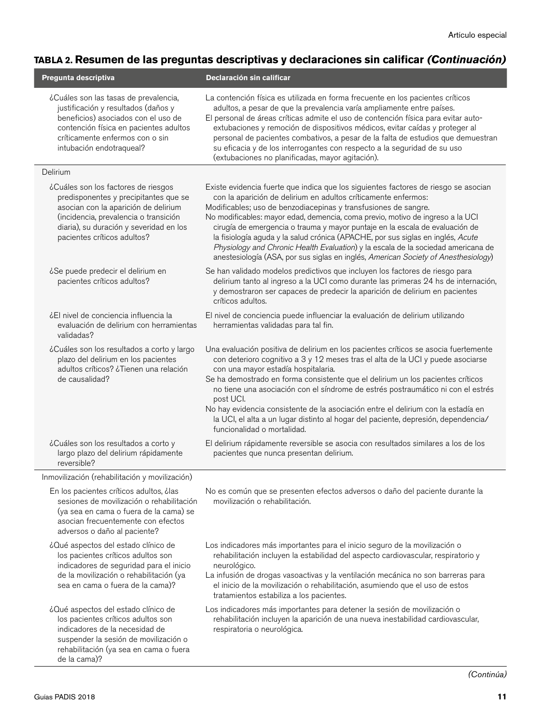### **TABLA 2. Resumen de las preguntas descriptivas y declaraciones sin calificar** *(Continuación)*

| Pregunta descriptiva                                                                                                                                                                                                                    | Declaración sin calificar                                                                                                                                                                                                                                                                                                                                                                                                                                                                                                                                                                                                                                |
|-----------------------------------------------------------------------------------------------------------------------------------------------------------------------------------------------------------------------------------------|----------------------------------------------------------------------------------------------------------------------------------------------------------------------------------------------------------------------------------------------------------------------------------------------------------------------------------------------------------------------------------------------------------------------------------------------------------------------------------------------------------------------------------------------------------------------------------------------------------------------------------------------------------|
| ¿Cuáles son las tasas de prevalencia,<br>justificación y resultados (daños y<br>beneficios) asociados con el uso de<br>contención física en pacientes adultos<br>críticamente enfermos con o sin<br>intubación endotraqueal?            | La contención física es utilizada en forma frecuente en los pacientes críticos<br>adultos, a pesar de que la prevalencia varía ampliamente entre países.<br>El personal de áreas críticas admite el uso de contención física para evitar auto-<br>extubaciones y remoción de dispositivos médicos, evitar caídas y proteger al<br>personal de pacientes combativos, a pesar de la falta de estudios que demuestran<br>su eficacia y de los interrogantes con respecto a la seguridad de su uso<br>(extubaciones no planificadas, mayor agitación).                                                                                                       |
| Delirium                                                                                                                                                                                                                                |                                                                                                                                                                                                                                                                                                                                                                                                                                                                                                                                                                                                                                                          |
| ¿Cuáles son los factores de riesgos<br>predisponentes y precipitantes que se<br>asocian con la aparición de delirium<br>(incidencia, prevalencia o transición<br>diaria), su duración y severidad en los<br>pacientes críticos adultos? | Existe evidencia fuerte que indica que los siguientes factores de riesgo se asocian<br>con la aparición de delirium en adultos críticamente enfermos:<br>Modificables; uso de benzodiacepinas y transfusiones de sangre.<br>No modificables: mayor edad, demencia, coma previo, motivo de ingreso a la UCI<br>cirugía de emergencia o trauma y mayor puntaje en la escala de evaluación de<br>la fisiología aguda y la salud crónica (APACHE, por sus siglas en inglés, Acute<br>Physiology and Chronic Health Evaluation) y la escala de la sociedad americana de<br>anestesiología (ASA, por sus siglas en inglés, American Society of Anesthesiology) |
| ¿Se puede predecir el delirium en<br>pacientes críticos adultos?                                                                                                                                                                        | Se han validado modelos predictivos que incluyen los factores de riesgo para<br>delirium tanto al ingreso a la UCI como durante las primeras 24 hs de internación,<br>y demostraron ser capaces de predecir la aparición de delirium en pacientes<br>críticos adultos.                                                                                                                                                                                                                                                                                                                                                                                   |
| ¿El nivel de conciencia influencia la<br>evaluación de delirium con herramientas<br>validadas?                                                                                                                                          | El nivel de conciencia puede influenciar la evaluación de delirium utilizando<br>herramientas validadas para tal fin.                                                                                                                                                                                                                                                                                                                                                                                                                                                                                                                                    |
| ¿Cuáles son los resultados a corto y largo<br>plazo del delirium en los pacientes<br>adultos críticos? ¿Tienen una relación<br>de causalidad?                                                                                           | Una evaluación positiva de delirium en los pacientes críticos se asocia fuertemente<br>con deterioro cognitivo a 3 y 12 meses tras el alta de la UCI y puede asociarse<br>con una mayor estadía hospitalaria.<br>Se ha demostrado en forma consistente que el delirium un los pacientes críticos<br>no tiene una asociación con el síndrome de estrés postraumático ni con el estrés<br>post UCI.<br>No hay evidencia consistente de la asociación entre el delirium con la estadía en<br>la UCI, el alta a un lugar distinto al hogar del paciente, depresión, dependencia/<br>funcionalidad o mortalidad.                                              |
| ¿Cuáles son los resultados a corto y<br>largo plazo del delirium rápidamente<br>reversible?                                                                                                                                             | El delirium rápidamente reversible se asocia con resultados similares a los de los<br>pacientes que nunca presentan delirium.                                                                                                                                                                                                                                                                                                                                                                                                                                                                                                                            |
| Inmovilización (rehabilitación y movilización)                                                                                                                                                                                          |                                                                                                                                                                                                                                                                                                                                                                                                                                                                                                                                                                                                                                                          |
| En los pacientes críticos adultos, ¿las<br>sesiones de movilización o rehabilitación<br>(ya sea en cama o fuera de la cama) se<br>asocian frecuentemente con efectos<br>adversos o daño al paciente?                                    | No es común que se presenten efectos adversos o daño del paciente durante la<br>movilización o rehabilitación.                                                                                                                                                                                                                                                                                                                                                                                                                                                                                                                                           |
| ¿Qué aspectos del estado clínico de<br>los pacientes críticos adultos son<br>indicadores de seguridad para el inicio<br>de la movilización o rehabilitación (ya<br>sea en cama o fuera de la cama)?                                     | Los indicadores más importantes para el inicio seguro de la movilización o<br>rehabilitación incluyen la estabilidad del aspecto cardiovascular, respiratorio y<br>neurológico.<br>La infusión de drogas vasoactivas y la ventilación mecánica no son barreras para<br>el inicio de la movilización o rehabilitación, asumiendo que el uso de estos<br>tratamientos estabiliza a los pacientes.                                                                                                                                                                                                                                                          |
| ¿Qué aspectos del estado clínico de<br>los pacientes críticos adultos son<br>indicadores de la necesidad de<br>suspender la sesión de movilización o<br>rehabilitación (ya sea en cama o fuera<br>de la cama)?                          | Los indicadores más importantes para detener la sesión de movilización o<br>rehabilitación incluyen la aparición de una nueva inestabilidad cardiovascular,<br>respiratoria o neurológica.                                                                                                                                                                                                                                                                                                                                                                                                                                                               |
|                                                                                                                                                                                                                                         | (Continúa)                                                                                                                                                                                                                                                                                                                                                                                                                                                                                                                                                                                                                                               |

 $\overline{a}$ 

l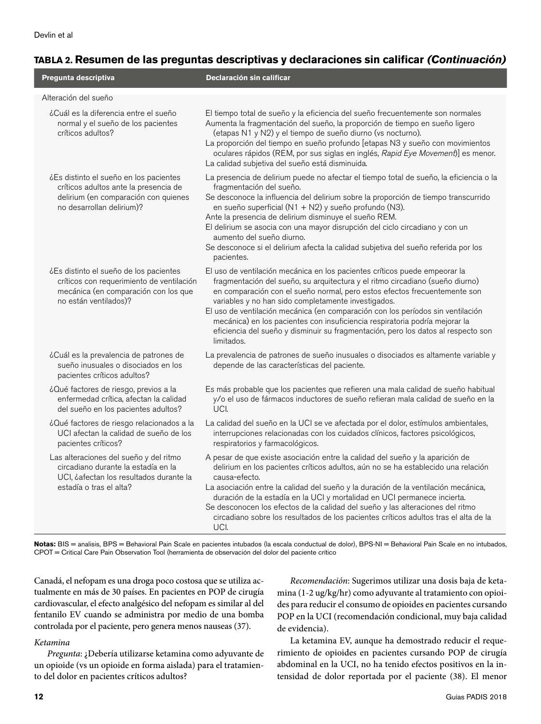### **TABLA 2. Resumen de las preguntas descriptivas y declaraciones sin calificar** *(Continuación)*

| Pregunta descriptiva                                                                                                                                 | Declaración sin calificar                                                                                                                                                                                                                                                                                                                                                                                                                                                                                                                                            |
|------------------------------------------------------------------------------------------------------------------------------------------------------|----------------------------------------------------------------------------------------------------------------------------------------------------------------------------------------------------------------------------------------------------------------------------------------------------------------------------------------------------------------------------------------------------------------------------------------------------------------------------------------------------------------------------------------------------------------------|
| Alteración del sueño                                                                                                                                 |                                                                                                                                                                                                                                                                                                                                                                                                                                                                                                                                                                      |
| ¿Cuál es la diferencia entre el sueño<br>normal y el sueño de los pacientes<br>críticos adultos?                                                     | El tiempo total de sueño y la eficiencia del sueño frecuentemente son normales<br>Aumenta la fragmentación del sueño, la proporción de tiempo en sueño ligero<br>(etapas N1 y N2) y el tiempo de sueño diurno (vs nocturno).<br>La proporción del tiempo en sueño profundo [etapas N3 y sueño con movimientos<br>oculares rápidos (REM, por sus siglas en inglés, Rapid Eye Movement)] es menor.<br>La calidad subjetiva del sueño está disminuida.                                                                                                                  |
| ¿Es distinto el sueño en los pacientes<br>críticos adultos ante la presencia de<br>delirium (en comparación con quienes<br>no desarrollan delirium)? | La presencia de delirium puede no afectar el tiempo total de sueño, la eficiencia o la<br>fragmentación del sueño.<br>Se desconoce la influencia del delirium sobre la proporción de tiempo transcurrido<br>en sueño superficial (N1 + N2) y sueño profundo (N3).<br>Ante la presencia de delirium disminuye el sueño REM.<br>El delirium se asocia con una mayor disrupción del ciclo circadiano y con un<br>aumento del sueño diurno.<br>Se desconoce si el delirium afecta la calidad subjetiva del sueño referida por los<br>pacientes.                          |
| ¿Es distinto el sueño de los pacientes<br>críticos con requerimiento de ventilación<br>mecánica (en comparación con los que<br>no están ventilados)? | El uso de ventilación mecánica en los pacientes críticos puede empeorar la<br>fragmentación del sueño, su arquitectura y el ritmo circadiano (sueño diurno)<br>en comparación con el sueño normal, pero estos efectos frecuentemente son<br>variables y no han sido completamente investigados.<br>El uso de ventilación mecánica (en comparación con los períodos sin ventilación<br>mecánica) en los pacientes con insuficiencia respiratoria podría mejorar la<br>eficiencia del sueño y disminuir su fragmentación, pero los datos al respecto son<br>limitados. |
| ¿Cuál es la prevalencia de patrones de<br>sueño inusuales o disociados en los<br>pacientes críticos adultos?                                         | La prevalencia de patrones de sueño inusuales o disociados es altamente variable y<br>depende de las características del paciente.                                                                                                                                                                                                                                                                                                                                                                                                                                   |
| ¿Qué factores de riesgo, previos a la<br>enfermedad crítica, afectan la calidad<br>del sueño en los pacientes adultos?                               | Es más probable que los pacientes que refieren una mala calidad de sueño habitual<br>y/o el uso de fármacos inductores de sueño refieran mala calidad de sueño en la<br>UCI.                                                                                                                                                                                                                                                                                                                                                                                         |
| ¿Qué factores de riesgo relacionados a la<br>UCI afectan la calidad de sueño de los<br>pacientes críticos?                                           | La calidad del sueño en la UCI se ve afectada por el dolor, estímulos ambientales,<br>interrupciones relacionadas con los cuidados clínicos, factores psicológicos,<br>respiratorios y farmacológicos.                                                                                                                                                                                                                                                                                                                                                               |
| Las alteraciones del sueño y del ritmo<br>circadiano durante la estadía en la<br>UCI, ¿afectan los resultados durante la<br>estadía o tras el alta?  | A pesar de que existe asociación entre la calidad del sueño y la aparición de<br>delirium en los pacientes críticos adultos, aún no se ha establecido una relación<br>causa-efecto.<br>La asociación entre la calidad del sueño y la duración de la ventilación mecánica,<br>duración de la estadía en la UCI y mortalidad en UCI permanece incierta.<br>Se desconocen los efectos de la calidad del sueño y las alteraciones del ritmo<br>circadiano sobre los resultados de los pacientes críticos adultos tras el alta de la<br>UCI.                              |

Notas: BIS = analisis, BPS = Behavioral Pain Scale en pacientes intubados (la escala conductual de dolor), BPS-NI = Behavioral Pain Scale en no intubados, CPOT = Critical Care Pain Observation Tool (herramienta de observación del dolor del paciente crítico

Canadá, el nefopam es una droga poco costosa que se utiliza actualmente en más de 30 países. En pacientes en POP de cirugía cardiovascular, el efecto analgésico del nefopam es similar al del fentanilo EV cuando se administra por medio de una bomba controlada por el paciente, pero genera menos nauseas (37).

#### *Ketamina*

*Pregunta*: ¿Debería utilizarse ketamina como adyuvante de un opioide (vs un opioide en forma aislada) para el tratamiento del dolor en pacientes críticos adultos?

*Recomendación*: Sugerimos utilizar una dosis baja de ketamina (1-2 ug/kg/hr) como adyuvante al tratamiento con opioides para reducir el consumo de opioides en pacientes cursando POP en la UCI (recomendación condicional, muy baja calidad de evidencia).

La ketamina EV, aunque ha demostrado reducir el requerimiento de opioides en pacientes cursando POP de cirugía abdominal en la UCI, no ha tenido efectos positivos en la intensidad de dolor reportada por el paciente (38). El menor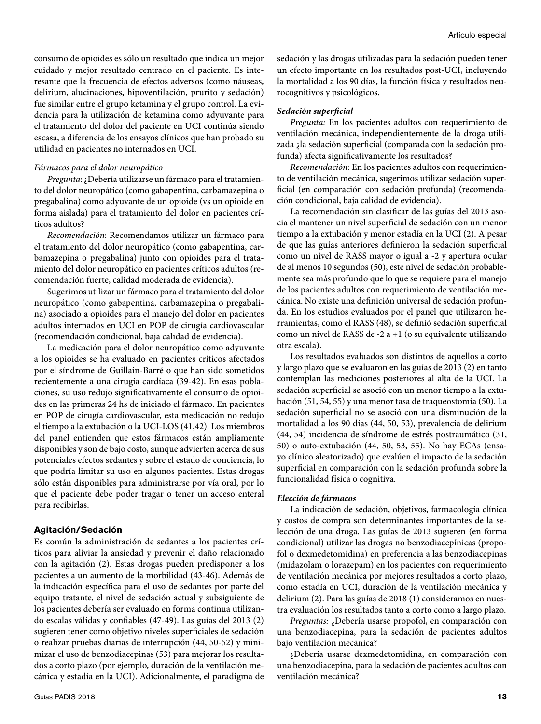consumo de opioides es sólo un resultado que indica un mejor cuidado y mejor resultado centrado en el paciente. Es interesante que la frecuencia de efectos adversos (como náuseas, delirium, alucinaciones, hipoventilación, prurito y sedación) fue similar entre el grupo ketamina y el grupo control. La evidencia para la utilización de ketamina como adyuvante para el tratamiento del dolor del paciente en UCI continúa siendo escasa, a diferencia de los ensayos clínicos que han probado su utilidad en pacientes no internados en UCI.

#### *Fármacos para el dolor neuropático*

*Pregunta*: ¿Debería utilizarse un fármaco para el tratamiento del dolor neuropático (como gabapentina, carbamazepina o pregabalina) como adyuvante de un opioide (vs un opioide en forma aislada) para el tratamiento del dolor en pacientes críticos adultos?

*Recomendación*: Recomendamos utilizar un fármaco para el tratamiento del dolor neuropático (como gabapentina, carbamazepina o pregabalina) junto con opioides para el tratamiento del dolor neuropático en pacientes críticos adultos (recomendación fuerte, calidad moderada de evidencia).

Sugerimos utilizar un fármaco para el tratamiento del dolor neuropático (como gabapentina, carbamazepina o pregabalina) asociado a opioides para el manejo del dolor en pacientes adultos internados en UCI en POP de cirugía cardiovascular (recomendación condicional, baja calidad de evidencia).

La medicación para el dolor neuropático como adyuvante a los opioides se ha evaluado en pacientes críticos afectados por el síndrome de Guillain-Barré o que han sido sometidos recientemente a una cirugía cardíaca (39-42). En esas poblaciones, su uso redujo significativamente el consumo de opioides en las primeras 24 hs de iniciado el fármaco. En pacientes en POP de cirugía cardiovascular, esta medicación no redujo el tiempo a la extubación o la UCI-LOS (41,42). Los miembros del panel entienden que estos fármacos están ampliamente disponibles y son de bajo costo, aunque advierten acerca de sus potenciales efectos sedantes y sobre el estado de conciencia, lo que podría limitar su uso en algunos pacientes. Estas drogas sólo están disponibles para administrarse por vía oral, por lo que el paciente debe poder tragar o tener un acceso enteral para recibirlas.

#### **Agitación/Sedación**

Es común la administración de sedantes a los pacientes críticos para aliviar la ansiedad y prevenir el daño relacionado con la agitación (2). Estas drogas pueden predisponer a los pacientes a un aumento de la morbilidad (43-46). Además de la indicación específica para el uso de sedantes por parte del equipo tratante, el nivel de sedación actual y subsiguiente de los pacientes debería ser evaluado en forma continua utilizando escalas válidas y confiables (47-49). Las guías del 2013 (2) sugieren tener como objetivo niveles superficiales de sedación o realizar pruebas diarias de interrupción (44, 50-52) y minimizar el uso de benzodiacepinas (53) para mejorar los resultados a corto plazo (por ejemplo, duración de la ventilación mecánica y estadía en la UCI). Adicionalmente, el paradigma de sedación y las drogas utilizadas para la sedación pueden tener un efecto importante en los resultados post-UCI, incluyendo la mortalidad a los 90 días, la función física y resultados neurocognitivos y psicológicos.

#### *Sedación superficial*

*Pregunta:* En los pacientes adultos con requerimiento de ventilación mecánica, independientemente de la droga utilizada ¿la sedación superficial (comparada con la sedación profunda) afecta significativamente los resultados?

*Recomendación:* En los pacientes adultos con requerimiento de ventilación mecánica, sugerimos utilizar sedación superficial (en comparación con sedación profunda) (recomendación condicional, baja calidad de evidencia).

La recomendación sin clasificar de las guías del 2013 asocia el mantener un nivel superficial de sedación con un menor tiempo a la extubación y menor estadía en la UCI (2). A pesar de que las guías anteriores definieron la sedación superficial como un nivel de RASS mayor o igual a -2 y apertura ocular de al menos 10 segundos (50), este nivel de sedación probablemente sea más profundo que lo que se requiere para el manejo de los pacientes adultos con requerimiento de ventilación mecánica. No existe una definición universal de sedación profunda. En los estudios evaluados por el panel que utilizaron herramientas, como el RASS (48), se definió sedación superficial como un nivel de RASS de -2 a +1 (o su equivalente utilizando otra escala).

Los resultados evaluados son distintos de aquellos a corto y largo plazo que se evaluaron en las guías de 2013 (2) en tanto contemplan las mediciones posteriores al alta de la UCI. La sedación superficial se asoció con un menor tiempo a la extubación (51, 54, 55) y una menor tasa de traqueostomía (50). La sedación superficial no se asoció con una disminución de la mortalidad a los 90 días (44, 50, 53), prevalencia de delirium (44, 54) incidencia de síndrome de estrés postraumático (31, 50) o auto-extubación (44, 50, 53, 55). No hay ECAs (ensayo clínico aleatorizado) que evalúen el impacto de la sedación superficial en comparación con la sedación profunda sobre la funcionalidad física o cognitiva.

#### *Elección de fármacos*

La indicación de sedación, objetivos, farmacología clínica y costos de compra son determinantes importantes de la selección de una droga. Las guías de 2013 sugieren (en forma condicional) utilizar las drogas no benzodiacepínicas (propofol o dexmedetomidina) en preferencia a las benzodiacepinas (midazolam o lorazepam) en los pacientes con requerimiento de ventilación mecánica por mejores resultados a corto plazo, como estadía en UCI, duración de la ventilación mecánica y delirium (2). Para las guías de 2018 (1) consideramos en nuestra evaluación los resultados tanto a corto como a largo plazo.

*Preguntas:* ¿Debería usarse propofol, en comparación con una benzodiacepina, para la sedación de pacientes adultos bajo ventilación mecánica?

¿Debería usarse dexmedetomidina, en comparación con una benzodiacepina, para la sedación de pacientes adultos con ventilación mecánica?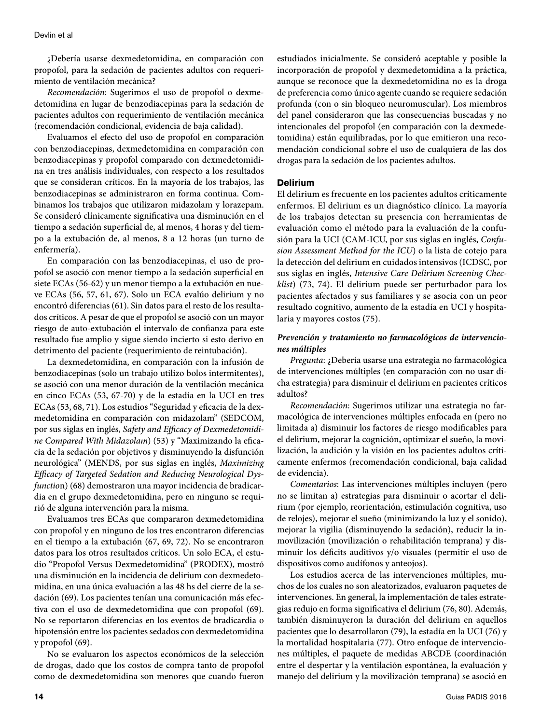¿Debería usarse dexmedetomidina, en comparación con propofol, para la sedación de pacientes adultos con requerimiento de ventilación mecánica?

*Recomendación*: Sugerimos el uso de propofol o dexmedetomidina en lugar de benzodiacepinas para la sedación de pacientes adultos con requerimiento de ventilación mecánica (recomendación condicional, evidencia de baja calidad).

Evaluamos el efecto del uso de propofol en comparación con benzodiacepinas, dexmedetomidina en comparación con benzodiacepinas y propofol comparado con dexmedetomidina en tres análisis individuales, con respecto a los resultados que se consideran críticos. En la mayoría de los trabajos, las benzodiacepinas se administraron en forma continua. Combinamos los trabajos que utilizaron midazolam y lorazepam. Se consideró clínicamente significativa una disminución en el tiempo a sedación superficial de, al menos, 4 horas y del tiempo a la extubación de, al menos, 8 a 12 horas (un turno de enfermería).

En comparación con las benzodiacepinas, el uso de propofol se asoció con menor tiempo a la sedación superficial en siete ECAs (56-62) y un menor tiempo a la extubación en nueve ECAs (56, 57, 61, 67). Solo un ECA evalúo delirium y no encontró diferencias (61). Sin datos para el resto de los resultados críticos. A pesar de que el propofol se asoció con un mayor riesgo de auto-extubación el intervalo de confianza para este resultado fue amplio y sigue siendo incierto si esto derivo en detrimento del paciente (requerimiento de reintubación).

La dexmedetomidina, en comparación con la infusión de benzodiacepinas (solo un trabajo utilizo bolos intermitentes), se asoció con una menor duración de la ventilación mecánica en cinco ECAs (53, 67-70) y de la estadía en la UCI en tres ECAs (53, 68, 71). Los estudios "Seguridad y eficacia de la dexmedetomidina en comparación con midazolam" (SEDCOM, por sus siglas en inglés, *Safety and Efficacy of Dexmedetomidine Compared With Midazolam*) (53) y "Maximizando la eficacia de la sedación por objetivos y disminuyendo la disfunción neurológica" (MENDS, por sus siglas en inglés, *Maximizing Efficacy of Targeted Sedation and Reducing Neurological Dysfunctio*n) (68) demostraron una mayor incidencia de bradicardia en el grupo dexmedetomidina, pero en ninguno se requirió de alguna intervención para la misma.

Evaluamos tres ECAs que compararon dexmedetomidina con propofol y en ninguno de los tres encontraron diferencias en el tiempo a la extubación (67, 69, 72). No se encontraron datos para los otros resultados críticos. Un solo ECA, el estudio "Propofol Versus Dexmedetomidina" (PRODEX), mostró una disminución en la incidencia de delirium con dexmedetomidina, en una única evaluación a las 48 hs del cierre de la sedación (69). Los pacientes tenían una comunicación más efectiva con el uso de dexmedetomidina que con propofol (69). No se reportaron diferencias en los eventos de bradicardia o hipotensión entre los pacientes sedados con dexmedetomidina y propofol (69).

No se evaluaron los aspectos económicos de la selección de drogas, dado que los costos de compra tanto de propofol como de dexmedetomidina son menores que cuando fueron estudiados inicialmente. Se consideró aceptable y posible la incorporación de propofol y dexmedetomidina a la práctica, aunque se reconoce que la dexmedetomidina no es la droga de preferencia como único agente cuando se requiere sedación profunda (con o sin bloqueo neuromuscular). Los miembros del panel consideraron que las consecuencias buscadas y no intencionales del propofol (en comparación con la dexmedetomidina) están equilibradas, por lo que emitieron una recomendación condicional sobre el uso de cualquiera de las dos drogas para la sedación de los pacientes adultos.

#### **Delirium**

El delirium es frecuente en los pacientes adultos críticamente enfermos. El delirium es un diagnóstico clínico. La mayoría de los trabajos detectan su presencia con herramientas de evaluación como el método para la evaluación de la confusión para la UCI (CAM-ICU, por sus siglas en inglés, *Confusion Assessment Method for the ICU*) o la lista de cotejo para la detección del delirium en cuidados intensivos (ICDSC, por sus siglas en inglés, *Intensive Care Delirium Screening Checklist*) (73, 74). El delirium puede ser perturbador para los pacientes afectados y sus familiares y se asocia con un peor resultado cognitivo, aumento de la estadía en UCI y hospitalaria y mayores costos (75).

#### *Prevención y tratamiento no farmacológicos de intervenciones múltiples*

*Pregunta*: ¿Debería usarse una estrategia no farmacológica de intervenciones múltiples (en comparación con no usar dicha estrategia) para disminuir el delirium en pacientes críticos adultos?

*Recomendación*: Sugerimos utilizar una estrategia no farmacológica de intervenciones múltiples enfocada en (pero no limitada a) disminuir los factores de riesgo modificables para el delirium, mejorar la cognición, optimizar el sueño, la movilización, la audición y la visión en los pacientes adultos críticamente enfermos (recomendación condicional, baja calidad de evidencia).

*Comentarios*: Las intervenciones múltiples incluyen (pero no se limitan a) estrategias para disminuir o acortar el delirium (por ejemplo, reorientación, estimulación cognitiva, uso de relojes), mejorar el sueño (minimizando la luz y el sonido), mejorar la vigilia (disminuyendo la sedación), reducir la inmovilización (movilización o rehabilitación temprana) y disminuir los déficits auditivos y/o visuales (permitir el uso de dispositivos como audífonos y anteojos).

Los estudios acerca de las intervenciones múltiples, muchos de los cuales no son aleatorizados, evaluaron paquetes de intervenciones. En general, la implementación de tales estrategias redujo en forma significativa el delirium (76, 80). Además, también disminuyeron la duración del delirium en aquellos pacientes que lo desarrollaron (79), la estadía en la UCI (76) y la mortalidad hospitalaria (77). Otro enfoque de intervenciones múltiples, el paquete de medidas ABCDE (coordinación entre el despertar y la ventilación espontánea, la evaluación y manejo del delirium y la movilización temprana) se asoció en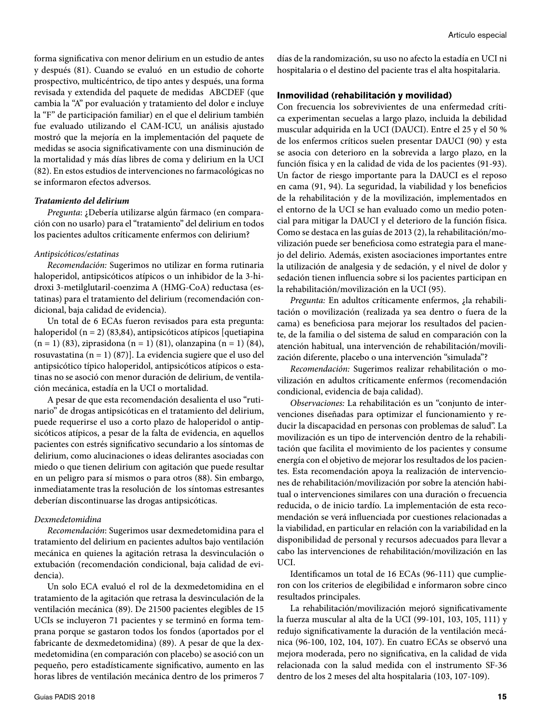forma significativa con menor delirium en un estudio de antes y después (81). Cuando se evaluó en un estudio de cohorte prospectivo, multicéntrico, de tipo antes y después, una forma revisada y extendida del paquete de medidas ABCDEF (que cambia la "A" por evaluación y tratamiento del dolor e incluye la "F" de participación familiar) en el que el delirium también fue evaluado utilizando el CAM-ICU, un análisis ajustado mostró que la mejoría en la implementación del paquete de medidas se asocia significativamente con una disminución de la mortalidad y más días libres de coma y delirium en la UCI (82). En estos estudios de intervenciones no farmacológicas no se informaron efectos adversos.

#### *Tratamiento del delirium*

*Pregunta*: ¿Debería utilizarse algún fármaco (en comparación con no usarlo) para el "tratamiento" del delirium en todos los pacientes adultos críticamente enfermos con delirium?

#### *Antipsicóticos/estatinas*

*Recomendación:* Sugerimos no utilizar en forma rutinaria haloperidol, antipsicóticos atípicos o un inhibidor de la 3-hidroxi 3-metilglutaril-coenzima A (HMG-CoA) reductasa (estatinas) para el tratamiento del delirium (recomendación condicional, baja calidad de evidencia).

Un total de 6 ECAs fueron revisados para esta pregunta: haloperidol (n = 2) (83,84), antipsicóticos atípicos [quetiapina (n = 1) (83), ziprasidona (n = 1) (81), olanzapina (n = 1) (84), rosuvastatina (n = 1) (87)]. La evidencia sugiere que el uso del antipsicótico típico haloperidol, antipsicóticos atípicos o estatinas no se asoció con menor duración de delirium, de ventilación mecánica, estadía en la UCI o mortalidad.

A pesar de que esta recomendación desalienta el uso "rutinario" de drogas antipsicóticas en el tratamiento del delirium, puede requerirse el uso a corto plazo de haloperidol o antipsicóticos atípicos, a pesar de la falta de evidencia, en aquellos pacientes con estrés significativo secundario a los síntomas de delirium, como alucinaciones o ideas delirantes asociadas con miedo o que tienen delirium con agitación que puede resultar en un peligro para sí mismos o para otros (88). Sin embargo, inmediatamente tras la resolución de los síntomas estresantes deberían discontinuarse las drogas antipsicóticas.

#### *Dexmedetomidina*

*Recomendación*: Sugerimos usar dexmedetomidina para el tratamiento del delirium en pacientes adultos bajo ventilación mecánica en quienes la agitación retrasa la desvinculación o extubación (recomendación condicional, baja calidad de evidencia).

Un solo ECA evaluó el rol de la dexmedetomidina en el tratamiento de la agitación que retrasa la desvinculación de la ventilación mecánica (89). De 21500 pacientes elegibles de 15 UCIs se incluyeron 71 pacientes y se terminó en forma temprana porque se gastaron todos los fondos (aportados por el fabricante de dexmedetomidina) (89). A pesar de que la dexmedetomidina (en comparación con placebo) se asoció con un pequeño, pero estadísticamente significativo, aumento en las horas libres de ventilación mecánica dentro de los primeros 7

días de la randomización, su uso no afecto la estadía en UCI ni hospitalaria o el destino del paciente tras el alta hospitalaria.

#### **Inmovilidad (rehabilitación y movilidad)**

Con frecuencia los sobrevivientes de una enfermedad crítica experimentan secuelas a largo plazo, incluida la debilidad muscular adquirida en la UCI (DAUCI). Entre el 25 y el 50 % de los enfermos críticos suelen presentar DAUCI (90) y esta se asocia con deterioro en la sobrevida a largo plazo, en la función física y en la calidad de vida de los pacientes (91-93). Un factor de riesgo importante para la DAUCI es el reposo en cama (91, 94). La seguridad, la viabilidad y los beneficios de la rehabilitación y de la movilización, implementados en el entorno de la UCI se han evaluado como un medio potencial para mitigar la DAUCI y el deterioro de la función física. Como se destaca en las guías de 2013 (2), la rehabilitación/movilización puede ser beneficiosa como estrategia para el manejo del delirio. Además, existen asociaciones importantes entre la utilización de analgesia y de sedación, y el nivel de dolor y sedación tienen influencia sobre si los pacientes participan en la rehabilitación/movilización en la UCI (95).

*Pregunta:* En adultos críticamente enfermos, ¿la rehabilitación o movilización (realizada ya sea dentro o fuera de la cama) es beneficiosa para mejorar los resultados del paciente, de la familia o del sistema de salud en comparación con la atención habitual, una intervención de rehabilitación/movilización diferente, placebo o una intervención "simulada"?

*Recomendación:* Sugerimos realizar rehabilitación o movilización en adultos críticamente enfermos (recomendación condicional, evidencia de baja calidad).

*Observaciones:* La rehabilitación es un "conjunto de intervenciones diseñadas para optimizar el funcionamiento y reducir la discapacidad en personas con problemas de salud". La movilización es un tipo de intervención dentro de la rehabilitación que facilita el movimiento de los pacientes y consume energía con el objetivo de mejorar los resultados de los pacientes. Esta recomendación apoya la realización de intervenciones de rehabilitación/movilización por sobre la atención habitual o intervenciones similares con una duración o frecuencia reducida, o de inicio tardío. La implementación de esta recomendación se verá influenciada por cuestiones relacionadas a la viabilidad, en particular en relación con la variabilidad en la disponibilidad de personal y recursos adecuados para llevar a cabo las intervenciones de rehabilitación/movilización en las UCI.

Identificamos un total de 16 ECAs (96-111) que cumplieron con los criterios de elegibilidad e informaron sobre cinco resultados principales.

La rehabilitación/movilización mejoró significativamente la fuerza muscular al alta de la UCI (99-101, 103, 105, 111) y redujo significativamente la duración de la ventilación mecánica (96-100, 102, 104, 107). En cuatro ECAs se observó una mejora moderada, pero no significativa, en la calidad de vida relacionada con la salud medida con el instrumento SF-36 dentro de los 2 meses del alta hospitalaria (103, 107-109).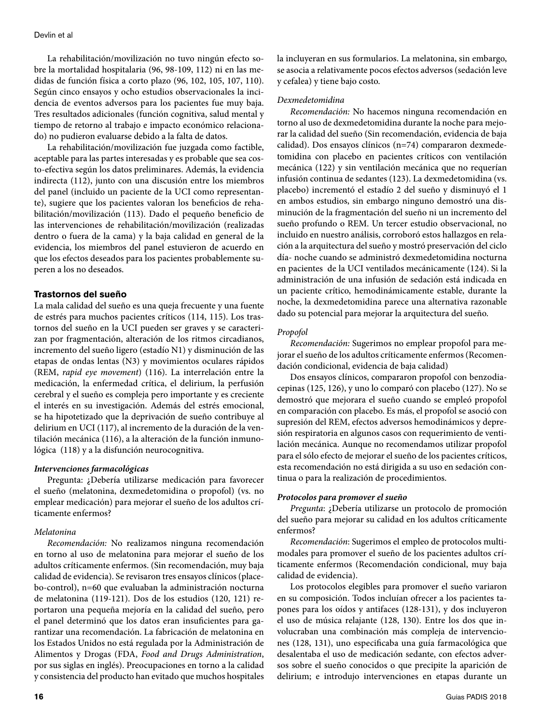La rehabilitación/movilización no tuvo ningún efecto sobre la mortalidad hospitalaria (96, 98-109, 112) ni en las medidas de función física a corto plazo (96, 102, 105, 107, 110). Según cinco ensayos y ocho estudios observacionales la incidencia de eventos adversos para los pacientes fue muy baja. Tres resultados adicionales (función cognitiva, salud mental y tiempo de retorno al trabajo e impacto económico relacionado) no pudieron evaluarse debido a la falta de datos.

La rehabilitación/movilización fue juzgada como factible, aceptable para las partes interesadas y es probable que sea costo-efectiva según los datos preliminares. Además, la evidencia indirecta (112), junto con una discusión entre los miembros del panel (incluido un paciente de la UCI como representante), sugiere que los pacientes valoran los beneficios de rehabilitación/movilización (113). Dado el pequeño beneficio de las intervenciones de rehabilitación/movilización (realizadas dentro o fuera de la cama) y la baja calidad en general de la evidencia, los miembros del panel estuvieron de acuerdo en que los efectos deseados para los pacientes probablemente superen a los no deseados.

#### **Trastornos del sueño**

La mala calidad del sueño es una queja frecuente y una fuente de estrés para muchos pacientes críticos (114, 115). Los trastornos del sueño en la UCI pueden ser graves y se caracterizan por fragmentación, alteración de los ritmos circadianos, incremento del sueño ligero (estadío N1) y disminución de las etapas de ondas lentas (N3) y movimientos oculares rápidos (REM, *rapid eye movement*) (116). La interrelación entre la medicación, la enfermedad crítica, el delirium, la perfusión cerebral y el sueño es compleja pero importante y es creciente el interés en su investigación. Además del estrés emocional, se ha hipotetizado que la deprivación de sueño contribuye al delirium en UCI (117), al incremento de la duración de la ventilación mecánica (116), a la alteración de la función inmunológica (118) y a la disfunción neurocognitiva.

#### *Intervenciones farmacológicas*

Pregunta: ¿Debería utilizarse medicación para favorecer el sueño (melatonina, dexmedetomidina o propofol) (vs. no emplear medicación) para mejorar el sueño de los adultos críticamente enfermos?

#### *Melatonina*

*Recomendación:* No realizamos ninguna recomendación en torno al uso de melatonina para mejorar el sueño de los adultos críticamente enfermos. (Sin recomendación, muy baja calidad de evidencia). Se revisaron tres ensayos clínicos (placebo-control), n=60 que evaluaban la administración nocturna de melatonina (119-121). Dos de los estudios (120, 121) reportaron una pequeña mejoría en la calidad del sueño, pero el panel determinó que los datos eran insuficientes para garantizar una recomendación. La fabricación de melatonina en los Estados Unidos no está regulada por la Administración de Alimentos y Drogas (FDA, *Food and Drugs Administration*, por sus siglas en inglés). Preocupaciones en torno a la calidad y consistencia del producto han evitado que muchos hospitales

la incluyeran en sus formularios. La melatonina, sin embargo, se asocia a relativamente pocos efectos adversos (sedación leve y cefalea) y tiene bajo costo.

#### *Dexmedetomidina*

*Recomendación:* No hacemos ninguna recomendación en torno al uso de dexmedetomidina durante la noche para mejorar la calidad del sueño (Sin recomendación, evidencia de baja calidad). Dos ensayos clínicos (n=74) compararon dexmedetomidina con placebo en pacientes críticos con ventilación mecánica (122) y sin ventilación mecánica que no requerían infusión continua de sedantes (123). La dexmedetomidina (vs. placebo) incrementó el estadío 2 del sueño y disminuyó el 1 en ambos estudios, sin embargo ninguno demostró una disminución de la fragmentación del sueño ni un incremento del sueño profundo o REM. Un tercer estudio observacional, no incluido en nuestro análisis, corroboró estos hallazgos en relación a la arquitectura del sueño y mostró preservación del ciclo día- noche cuando se administró dexmedetomidina nocturna en pacientes de la UCI ventilados mecánicamente (124). Si la administración de una infusión de sedación está indicada en un paciente crítico, hemodinámicamente estable, durante la noche, la dexmedetomidina parece una alternativa razonable dado su potencial para mejorar la arquitectura del sueño.

#### *Propofol*

*Recomendación:* Sugerimos no emplear propofol para mejorar el sueño de los adultos críticamente enfermos (Recomendación condicional, evidencia de baja calidad)

Dos ensayos clínicos, compararon propofol con benzodiacepinas (125, 126), y uno lo comparó con placebo (127). No se demostró que mejorara el sueño cuando se empleó propofol en comparación con placebo. Es más, el propofol se asoció con supresión del REM, efectos adversos hemodinámicos y depresión respiratoria en algunos casos con requerimiento de ventilación mecánica. Aunque no recomendamos utilizar propofol para el sólo efecto de mejorar el sueño de los pacientes críticos, esta recomendación no está dirigida a su uso en sedación continua o para la realización de procedimientos.

#### *Protocolos para promover el sueño*

*Pregunta*: ¿Debería utilizarse un protocolo de promoción del sueño para mejorar su calidad en los adultos críticamente enfermos?

*Recomendación*: Sugerimos el empleo de protocolos multimodales para promover el sueño de los pacientes adultos críticamente enfermos (Recomendación condicional, muy baja calidad de evidencia).

Los protocolos elegibles para promover el sueño variaron en su composición. Todos incluían ofrecer a los pacientes tapones para los oídos y antifaces (128-131), y dos incluyeron el uso de música relajante (128, 130). Entre los dos que involucraban una combinación más compleja de intervenciones (128, 131), uno especificaba una guía farmacológica que desalentaba el uso de medicación sedante, con efectos adversos sobre el sueño conocidos o que precipite la aparición de delirium; e introdujo intervenciones en etapas durante un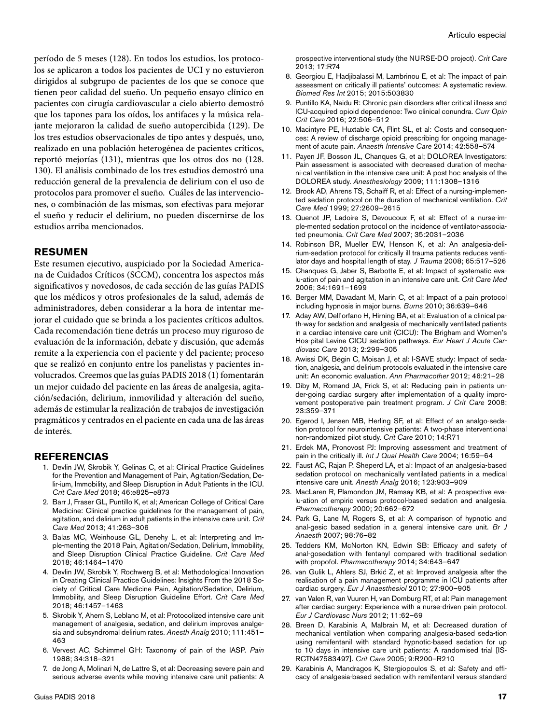período de 5 meses (128). En todos los estudios, los protocolos se aplicaron a todos los pacientes de UCI y no estuvieron dirigidos al subgrupo de pacientes de los que se conoce que tienen peor calidad del sueño. Un pequeño ensayo clínico en pacientes con cirugía cardiovascular a cielo abierto demostró que los tapones para los oídos, los antifaces y la música relajante mejoraron la calidad de sueño autopercibida (129). De los tres estudios observacionales de tipo antes y después, uno, realizado en una población heterogénea de pacientes críticos, reportó mejorías (131), mientras que los otros dos no (128. 130). El análisis combinado de los tres estudios demostró una reducción general de la prevalencia de delirium con el uso de protocolos para promover el sueño. Cuáles de las intervenciones, o combinación de las mismas, son efectivas para mejorar el sueño y reducir el delirium, no pueden discernirse de los estudios arriba mencionados.

#### **RESUMEN**

Este resumen ejecutivo, auspiciado por la Sociedad Americana de Cuidados Críticos (SCCM), concentra los aspectos más significativos y novedosos, de cada sección de las guías PADIS que los médicos y otros profesionales de la salud, además de administradores, deben considerar a la hora de intentar mejorar el cuidado que se brinda a los pacientes críticos adultos. Cada recomendación tiene detrás un proceso muy riguroso de evaluación de la información, debate y discusión, que además remite a la experiencia con el paciente y del paciente; proceso que se realizó en conjunto entre los panelistas y pacientes involucrados. Creemos que las guías PADIS 2018 (1) fomentarán un mejor cuidado del paciente en las áreas de analgesia, agitación/sedación, delirium, inmovilidad y alteración del sueño, además de estimular la realización de trabajos de investigación pragmáticos y centrados en el paciente en cada una de las áreas de interés.

#### **REFERENCIAS**

- 1. Devlin JW, Skrobik Y, Gelinas C, et al: Clinical Practice Guidelines for the Prevention and Management of Pain, Agitation/Sedation, Delir-ium, Immobility, and Sleep Disruption in Adult Patients in the ICU. *Crit Care Med* 2018; 46:e825–e873
- 2. Barr J, Fraser GL, Puntillo K, et al; American College of Critical Care Medicine: Clinical practice guidelines for the management of pain, agitation, and delirium in adult patients in the intensive care unit. *Crit Care Med* 2013; 41:263–306
- 3. Balas MC, Weinhouse GL, Denehy L, et al: Interpreting and Imple-menting the 2018 Pain, Agitation/Sedation, Delirium, Immobility, and Sleep Disruption Clinical Practice Guideline. *Crit Care Med* 2018; 46:1464–1470
- 4. Devlin JW, Skrobik Y, Rochwerg B, et al: Methodological Innovation in Creating Clinical Practice Guidelines: Insights From the 2018 Society of Critical Care Medicine Pain, Agitation/Sedation, Delirium, Immobility, and Sleep Disruption Guideline Effort. *Crit Care Med* 2018; 46:1457–1463
- 5. Skrobik Y, Ahern S, Leblanc M, et al: Protocolized intensive care unit management of analgesia, sedation, and delirium improves analgesia and subsyndromal delirium rates. *Anesth Analg* 2010; 111:451– 463
- 6. Vervest AC, Schimmel GH: Taxonomy of pain of the IASP. *Pain*  1988; 34:318–321
- 7. de Jong A, Molinari N, de Lattre S, et al: Decreasing severe pain and serious adverse events while moving intensive care unit patients: A

prospective interventional study (the NURSE-DO project). *Crit Care* 2013; 17:R74

- 8. Georgiou E, Hadjibalassi M, Lambrinou E, et al: The impact of pain assessment on critically ill patients' outcomes: A systematic review. *Biomed Res Int* 2015; 2015:503830
- 9. Puntillo KA, Naidu R: Chronic pain disorders after critical illness and ICU-acquired opioid dependence: Two clinical conundra. *Curr Opin Crit Care* 2016; 22:506–512
- 10. Macintyre PE, Huxtable CA, Flint SL, et al: Costs and consequences: A review of discharge opioid prescribing for ongoing management of acute pain. *Anaesth Intensive Care* 2014; 42:558–574
- 11. Payen JF, Bosson JL, Chanques G, et al; DOLOREA Investigators: Pain assessment is associated with decreased duration of mechani-cal ventilation in the intensive care unit: A post hoc analysis of the DOLOREA study. *Anesthesiology* 2009; 111:1308–1316
- 12. Brook AD, Ahrens TS, Schaiff R, et al: Effect of a nursing-implemented sedation protocol on the duration of mechanical ventilation. *Crit Care Med* 1999; 27:2609–2615
- 13. Quenot JP, Ladoire S, Devoucoux F, et al: Effect of a nurse-imple-mented sedation protocol on the incidence of ventilator-associated pneumonia. *Crit Care Med* 2007; 35:2031–2036
- 14. Robinson BR, Mueller EW, Henson K, et al: An analgesia-delirium-sedation protocol for critically ill trauma patients reduces ventilator days and hospital length of stay. *J Trauma* 2008; 65:517–526
- 15. Chanques G, Jaber S, Barbotte E, et al: Impact of systematic evalu-ation of pain and agitation in an intensive care unit. *Crit Care Med* 2006; 34:1691–1699
- 16. Berger MM, Davadant M, Marin C, et al: Impact of a pain protocol including hypnosis in major burns. *Burns* 2010; 36:639–646
- 17. Aday AW, Dell'orfano H, Hirning BA, et al: Evaluation of a clinical path-way for sedation and analgesia of mechanically ventilated patients in a cardiac intensive care unit (CICU): The Brigham and Women's Hos-pital Levine CICU sedation pathways. *Eur Heart J Acute Cardiovasc Care* 2013; 2:299–305
- 18. Awissi DK, Bégin C, Moisan J, et al: I-SAVE study: Impact of sedation, analgesia, and delirium protocols evaluated in the intensive care unit: An economic evaluation. *Ann Pharmacother* 2012; 46:21–28
- 19. Diby M, Romand JA, Frick S, et al: Reducing pain in patients under-going cardiac surgery after implementation of a quality improvement postoperative pain treatment program. *J Crit Care* 2008; 23:359–371
- 20. Egerod I, Jensen MB, Herling SF, et al: Effect of an analgo-sedation protocol for neurointensive patients: A two-phase interventional non-randomized pilot study. *Crit Care* 2010; 14:R71
- 21. Erdek MA, Pronovost PJ: Improving assessment and treatment of pain in the critically ill. *Int J Qual Health Care* 2004; 16:59–64
- 22. Faust AC, Rajan P, Sheperd LA, et al: Impact of an analgesia-based sedation protocol on mechanically ventilated patients in a medical intensive care unit. *Anesth Analg* 2016; 123:903–909
- 23. MacLaren R, Plamondon JM, Ramsay KB, et al: A prospective evalu-ation of empiric versus protocol-based sedation and analgesia. *Pharmacotherapy* 2000; 20:662–672
- 24. Park G, Lane M, Rogers S, et al: A comparison of hypnotic and anal-gesic based sedation in a general intensive care unit. *Br J Anaesth* 2007; 98:76–82
- 25. Tedders KM, McNorton KN, Edwin SB: Efficacy and safety of anal-gosedation with fentanyl compared with traditional sedation with propofol. *Pharmacotherapy* 2014; 34:643–647
- 26. van Gulik L, Ahlers SJ, Brkić Z, et al: Improved analgesia after the realisation of a pain management programme in ICU patients after cardiac surgery. *Eur J Anaesthesiol* 2010; 27:900–905
- 27. van Valen R, van Vuuren H, van Domburg RT, et al: Pain management after cardiac surgery: Experience with a nurse-driven pain protocol. *Eur J Cardiovasc Nurs* 2012; 11:62–69
- 28. Breen D, Karabinis A, Malbrain M, et al: Decreased duration of mechanical ventilation when comparing analgesia-based seda-tion using remifentanil with standard hypnotic-based sedation for up to 10 days in intensive care unit patients: A randomised trial [IS-RCTN47583497]. *Crit Care* 2005; 9:R200–R210
- 29. Karabinis A, Mandragos K, Stergiopoulos S, et al: Safety and efficacy of analgesia-based sedation with remifentanil versus standard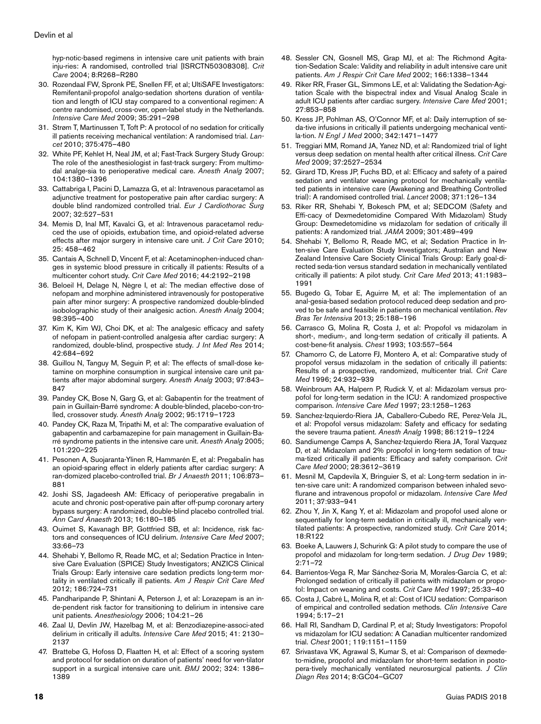hyp-notic-based regimens in intensive care unit patients with brain inju-ries: A randomised, controlled trial [ISRCTN50308308]. *Crit Care* 2004; 8:R268–R280

- 30. Rozendaal FW, Spronk PE, Snellen FF, et al; UltiSAFE Investigators: Remifentanil-propofol analgo-sedation shortens duration of ventilation and length of ICU stay compared to a conventional regimen: A centre randomised, cross-over, open-label study in the Netherlands. *Intensive Care Med* 2009; 35:291–298
- 31. Strøm T, Martinussen T, Toft P: A protocol of no sedation for critically ill patients receiving mechanical ventilation: A randomised trial. *Lancet* 2010; 375:475–480
- 32. White PF, Kehlet H, Neal JM, et al; Fast-Track Surgery Study Group: The role of the anesthesiologist in fast-track surgery: From multimodal analge-sia to perioperative medical care. *Anesth Analg* 2007; 104:1380–1396
- 33. Cattabriga I, Pacini D, Lamazza G, et al: Intravenous paracetamol as adjunctive treatment for postoperative pain after cardiac surgery: A double blind randomized controlled trial. *Eur J Cardiothorac Surg* 2007; 32:527–531
- 34. Memis D, Inal MT, Kavalci G, et al: Intravenous paracetamol reduced the use of opioids, extubation time, and opioid-related adverse effects after major surgery in intensive care unit. *J Crit Care* 2010; 25: 458–462
- 35. Cantais A, Schnell D, Vincent F, et al: Acetaminophen-induced changes in systemic blood pressure in critically ill patients: Results of a multicenter cohort study. *Crit Care Med* 2016; 44:2192–2198
- 36. Beloeil H, Delage N, Nègre I, et al: The median effective dose of nefopam and morphine administered intravenously for postoperative pain after minor surgery: A prospective randomized double-blinded isobolographic study of their analgesic action. *Anesth Analg* 2004; 98:395–400
- 37. Kim K, Kim WJ, Choi DK, et al: The analgesic efficacy and safety of nefopam in patient-controlled analgesia after cardiac surgery: A randomized, double-blind, prospective study. *J Int Med Res* 2014; 42:684–692
- 38. Guillou N, Tanguy M, Seguin P, et al: The effects of small-dose ketamine on morphine consumption in surgical intensive care unit patients after major abdominal surgery. *Anesth Analg* 2003; 97:843– 847
- 39. Pandey CK, Bose N, Garg G, et al: Gabapentin for the treatment of pain in Guillain-Barré syndrome: A double-blinded, placebo-con-trolled, crossover study. *Anesth Analg* 2002; 95:1719–1723
- 40. Pandey CK, Raza M, Tripathi M, et al: The comparative evaluation of gabapentin and carbamazepine for pain management in Guillain-Barré syndrome patients in the intensive care unit. *Anesth Analg* 2005; 101:220–225
- 41. Pesonen A, Suojaranta-Ylinen R, Hammarén E, et al: Pregabalin has an opioid-sparing effect in elderly patients after cardiac surgery: A ran-domized placebo-controlled trial. *Br J Anaesth* 2011; 106:873– 881
- 42. Joshi SS, Jagadeesh AM: Efficacy of perioperative pregabalin in acute and chronic post-operative pain after off-pump coronary artery bypass surgery: A randomized, double-blind placebo controlled trial. *Ann Card Anaesth* 2013; 16:180–185
- 43. Ouimet S, Kavanagh BP, Gottfried SB, et al: Incidence, risk factors and consequences of ICU delirium. *Intensive Care Med* 2007; 33:66–73
- 44. Shehabi Y, Bellomo R, Reade MC, et al; Sedation Practice in Intensive Care Evaluation (SPICE) Study Investigators; ANZICS Clinical Trials Group: Early intensive care sedation predicts long-term mortality in ventilated critically ill patients. *Am J Respir Crit Care Med* 2012; 186:724–731
- 45. Pandharipande P, Shintani A, Peterson J, et al: Lorazepam is an inde-pendent risk factor for transitioning to delirium in intensive care unit patients. *Anesthesiology* 2006; 104:21–26
- 46. Zaal IJ, Devlin JW, Hazelbag M, et al: Benzodiazepine-associ-ated delirium in critically ill adults. *Intensive Care Med* 2015; 41: 2130– 2137
- 47. Brattebø G, Hofoss D, Flaatten H, et al: Effect of a scoring system and protocol for sedation on duration of patients' need for ven-tilator support in a surgical intensive care unit. *BMJ* 2002; 324: 1386– 1389
- 48. Sessler CN, Gosnell MS, Grap MJ, et al: The Richmond Agitation-Sedation Scale: Validity and reliability in adult intensive care unit patients. *Am J Respir Crit Care Med* 2002; 166:1338–1344
- 49. Riker RR, Fraser GL, Simmons LE, et al: Validating the Sedation-Agitation Scale with the bispectral index and Visual Analog Scale in adult ICU patients after cardiac surgery. *Intensive Care Med* 2001; 27:853–858
- 50. Kress JP, Pohlman AS, O'Connor MF, et al: Daily interruption of seda-tive infusions in critically ill patients undergoing mechanical ventila-tion. *N Engl J Med* 2000; 342:1471–1477
- 51. Treggiari MM, Romand JA, Yanez ND, et al: Randomized trial of light versus deep sedation on mental health after critical illness. *Crit Care Med* 2009; 37:2527–2534
- 52. Girard TD, Kress JP, Fuchs BD, et al: Efficacy and safety of a paired sedation and ventilator weaning protocol for mechanically ventilated patients in intensive care (Awakening and Breathing Controlled trial): A randomised controlled trial. *Lancet* 2008; 371:126–134
- 53. Riker RR, Shehabi Y, Bokesch PM, et al; SEDCOM (Safety and Effi-cacy of Dexmedetomidine Compared With Midazolam) Study Group: Dexmedetomidine vs midazolam for sedation of critically ill patients: A randomized trial. *JAMA* 2009; 301:489–499
- 54. Shehabi Y, Bellomo R, Reade MC, et al; Sedation Practice in Inten-sive Care Evaluation Study Investigators; Australian and New Zealand Intensive Care Society Clinical Trials Group: Early goal-directed seda-tion versus standard sedation in mechanically ventilated critically ill patients: A pilot study. *Crit Care Med* 2013; 41:1983– 1991
- 55. Bugedo G, Tobar E, Aguirre M, et al: The implementation of an anal-gesia-based sedation protocol reduced deep sedation and proved to be safe and feasible in patients on mechanical ventilation. *Rev Bras Ter Intensiva* 2013; 25:188–196
- 56. Carrasco G, Molina R, Costa J, et al: Propofol vs midazolam in short-, medium-, and long-term sedation of critically ill patients. A cost-bene-fit analysis. *Chest* 1993; 103:557–564
- 57. Chamorro C, de Latorre FJ, Montero A, et al: Comparative study of propofol versus midazolam in the sedation of critically ill patients: Results of a prospective, randomized, multicenter trial. *Crit Care Med* 1996; 24:932–939
- 58. Weinbroum AA, Halpern P, Rudick V, et al: Midazolam versus propofol for long-term sedation in the ICU: A randomized prospective comparison. *Intensive Care Med* 1997; 23:1258–1263
- 59. Sanchez-Izquierdo-Riera JA, Caballero-Cubedo RE, Perez-Vela JL, et al: Propofol versus midazolam: Safety and efficacy for sedating the severe trauma patient. *Anesth Analg* 1998; 86:1219–1224
- 60. Sandiumenge Camps A, Sanchez-Izquierdo Riera JA, Toral Vazquez D, et al: Midazolam and 2% propofol in long-term sedation of trauma-tized critically ill patients: Efficacy and safety comparison. *Crit Care Med* 2000; 28:3612–3619
- 61. Mesnil M, Capdevila X, Bringuier S, et al: Long-term sedation in inten-sive care unit: A randomized comparison between inhaled sevoflurane and intravenous propofol or midazolam. *Intensive Care Med* 2011; 37:933–941
- 62. Zhou Y, Jin X, Kang Y, et al: Midazolam and propofol used alone or sequentially for long-term sedation in critically ill, mechanically ventilated patients: A prospective, randomized study. *Crit Care* 2014; 18:R122
- 63. Boeke A, Lauwers J, Schurink G: A pilot study to compare the use of propofol and midazolam for long-term sedation. *J Drug Dev* 1989; 2:71–72
- 64. Barrientos-Vega R, Mar Sánchez-Soria M, Morales-García C, et al: Prolonged sedation of critically ill patients with midazolam or propofol: Impact on weaning and costs. *Crit Care Med* 1997; 25:33–40
- 65. Costa J, Cabré L, Molina R, et al: Cost of ICU sedation: Comparison of empirical and controlled sedation methods. *Clin Intensive Care* 1994; 5:17–21
- 66. Hall RI, Sandham D, Cardinal P, et al; Study Investigators: Propofol vs midazolam for ICU sedation: A Canadian multicenter randomized trial. *Chest* 2001; 119:1151–1159
- 67. Srivastava VK, Agrawal S, Kumar S, et al: Comparison of dexmedeto-midine, propofol and midazolam for short-term sedation in postopera-tively mechanically ventilated neurosurgical patients. *J Clin Diagn Res* 2014; 8:GC04–GC07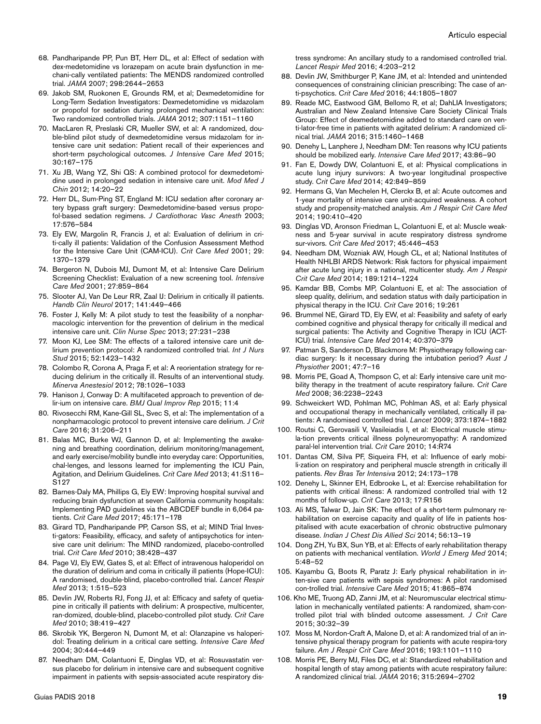- 68. Pandharipande PP, Pun BT, Herr DL, et al: Effect of sedation with dex-medetomidine vs lorazepam on acute brain dysfunction in mechani-cally ventilated patients: The MENDS randomized controlled trial. *JAMA* 2007; 298:2644–2653
- 69. Jakob SM, Ruokonen E, Grounds RM, et al; Dexmedetomidine for Long-Term Sedation Investigators: Dexmedetomidine vs midazolam or propofol for sedation during prolonged mechanical ventilation: Two randomized controlled trials. *JAMA* 2012; 307:1151–1160
- 70. MacLaren R, Preslaski CR, Mueller SW, et al: A randomized, double-blind pilot study of dexmedetomidine versus midazolam for intensive care unit sedation: Patient recall of their experiences and short-term psychological outcomes. *J Intensive Care Med* 2015; 30:167–175
- 71. Xu JB, Wang YZ, Shi QS: A combined protocol for dexmedetomidine used in prolonged sedation in intensive care unit. *Mod Med J Chin* 2012; 14:20–22
- 72. Herr DL, Sum-Ping ST, England M: ICU sedation after coronary artery bypass graft surgery: Dexmedetomidine-based versus propofol-based sedation regimens. *J Cardiothorac Vasc Anesth* 2003; 17:576–584
- 73. Ely EW, Margolin R, Francis J, et al: Evaluation of delirium in criti-cally ill patients: Validation of the Confusion Assessment Method for the Intensive Care Unit (CAM-ICU). *Crit Care Med* 2001; 29: 1370–1379
- 74. Bergeron N, Dubois MJ, Dumont M, et al: Intensive Care Delirium Screening Checklist: Evaluation of a new screening tool. *Intensive Care Med* 2001; 27:859–864
- 75. Slooter AJ, Van De Leur RR, Zaal IJ: Delirium in critically ill patients. *Handb Clin Neurol* 2017; 141:449–466
- 76. Foster J, Kelly M: A pilot study to test the feasibility of a nonpharmacologic intervention for the prevention of delirium in the medical intensive care unit. *Clin Nurse Spec* 2013; 27:231–238
- 77. Moon KJ, Lee SM: The effects of a tailored intensive care unit delirium prevention protocol: A randomized controlled trial. *Int J Nurs Stud* 2015; 52:1423–1432
- 78. Colombo R, Corona A, Praga F, et al: A reorientation strategy for reducing delirium in the critically ill. Results of an interventional study. *Minerva Anestesiol* 2012; 78:1026–1033
- 79. Hanison J, Conway D: A multifaceted approach to prevention of delir-ium on intensive care. *BMJ Qual Improv Rep* 2015; 11:4
- 80. Rivosecchi RM, Kane-Gill SL, Svec S, et al: The implementation of a nonpharmacologic protocol to prevent intensive care delirium. *J Crit Care* 2016; 31:206–211
- 81. Balas MC, Burke WJ, Gannon D, et al: Implementing the awakening and breathing coordination, delirium monitoring/management, and early exercise/mobility bundle into everyday care: Opportunities, chal-lenges, and lessons learned for implementing the ICU Pain, Agitation, and Delirium Guidelines. *Crit Care Med* 2013; 41:S116– S127
- 82. Barnes-Daly MA, Phillips G, Ely EW: Improving hospital survival and reducing brain dysfunction at seven California community hospitals: Implementing PAD guidelines via the ABCDEF bundle in 6,064 patients. *Crit Care Med* 2017; 45:171–178
- 83. Girard TD, Pandharipande PP, Carson SS, et al; MIND Trial Investi-gators: Feasibility, efficacy, and safety of antipsychotics for intensive care unit delirium: The MIND randomized, placebo-controlled trial. *Crit Care Med* 2010; 38:428–437
- 84. Page VJ, Ely EW, Gates S, et al: Effect of intravenous haloperidol on the duration of delirium and coma in critically ill patients (Hope-ICU): A randomised, double-blind, placebo-controlled trial. *Lancet Respir Med* 2013; 1:515–523
- 85. Devlin JW, Roberts RJ, Fong JJ, et al: Efficacy and safety of quetiapine in critically ill patients with delirium: A prospective, multicenter, ran-domized, double-blind, placebo-controlled pilot study. *Crit Care Med* 2010; 38:419–427
- 86. Skrobik YK, Bergeron N, Dumont M, et al: Olanzapine vs haloperidol: Treating delirium in a critical care setting. *Intensive Care Med* 2004; 30:444–449
- 87. Needham DM, Colantuoni E, Dinglas VD, et al: Rosuvastatin versus placebo for delirium in intensive care and subsequent cognitive impairment in patients with sepsis-associated acute respiratory dis-

tress syndrome: An ancillary study to a randomised controlled trial. *Lancet Respir Med* 2016; 4:203–212

- 88. Devlin JW, Smithburger P, Kane JM, et al: Intended and unintended consequences of constraining clinician prescribing: The case of anti-psychotics. *Crit Care Med* 2016; 44:1805–1807
- 89. Reade MC, Eastwood GM, Bellomo R, et al; DahLIA Investigators; Australian and New Zealand Intensive Care Society Clinical Trials Group: Effect of dexmedetomidine added to standard care on venti-lator-free time in patients with agitated delirium: A randomized clinical trial. *JAMA* 2016; 315:1460–1468
- 90. Denehy L, Lanphere J, Needham DM: Ten reasons why ICU patients should be mobilized early. *Intensive Care Med* 2017; 43:86–90
- 91. Fan E, Dowdy DW, Colantuoni E, et al: Physical complications in acute lung injury survivors: A two-year longitudinal prospective study. *Crit Care Med* 2014; 42:849–859
- 92. Hermans G, Van Mechelen H, Clerckx B, et al: Acute outcomes and 1-year mortality of intensive care unit-acquired weakness. A cohort study and propensity-matched analysis. *Am J Respir Crit Care Med* 2014; 190:410–420
- 93. Dinglas VD, Aronson Friedman L, Colantuoni E, et al: Muscle weakness and 5-year survival in acute respiratory distress syndrome sur-vivors. *Crit Care Med* 2017; 45:446–453
- 94. Needham DM, Wozniak AW, Hough CL, et al; National Institutes of Health NHLBI ARDS Network: Risk factors for physical impairment after acute lung injury in a national, multicenter study. *Am J Respir Crit Care Med* 2014; 189:1214–1224
- 95. Kamdar BB, Combs MP, Colantuoni E, et al: The association of sleep quality, delirium, and sedation status with daily participation in physical therapy in the ICU. *Crit Care* 2016; 19:261
- 96. Brummel NE, Girard TD, Ely EW, et al: Feasibility and safety of early combined cognitive and physical therapy for critically ill medical and surgical patients: The Activity and Cognitive Therapy in ICU (ACT-ICU) trial. *Intensive Care Med* 2014; 40:370–379
- 97. Patman S, Sanderson D, Blackmore M: Physiotherapy following cardiac surgery: Is it necessary during the intubation period? *Aust J Physiother* 2001; 47:7–16
- 98. Morris PE, Goad A, Thompson C, et al: Early intensive care unit mobility therapy in the treatment of acute respiratory failure. *Crit Care Med* 2008; 36:2238–2243
- 99. Schweickert WD, Pohlman MC, Pohlman AS, et al: Early physical and occupational therapy in mechanically ventilated, critically ill patients: A randomised controlled trial. *Lancet* 2009; 373:1874–1882
- 100. Routsi C, Gerovasili V, Vasileiadis I, et al: Electrical muscle stimula-tion prevents critical illness polyneuromyopathy: A randomized paral-lel intervention trial. *Crit Care* 2010; 14:R74
- 101. Dantas CM, Silva PF, Siqueira FH, et al: Influence of early mobili-zation on respiratory and peripheral muscle strength in critically ill patients. *Rev Bras Ter Intensiva* 2012; 24:173–178
- 102. Denehy L, Skinner EH, Edbrooke L, et al: Exercise rehabilitation for patients with critical illness: A randomized controlled trial with 12 months of follow-up. *Crit Care* 2013; 17:R156
- 103. Ali MS, Talwar D, Jain SK: The effect of a short-term pulmonary rehabilitation on exercise capacity and quality of life in patients hospitalised with acute exacerbation of chronic obstructive pulmonary disease. *Indian J Chest Dis Allied Sci* 2014; 56:13–19
- 104. Dong ZH, Yu BX, Sun YB, et al: Effects of early rehabilitation therapy on patients with mechanical ventilation. *World J Emerg Med* 2014; 5:48–52
- 105. Kayambu G, Boots R, Paratz J: Early physical rehabilitation in inten-sive care patients with sepsis syndromes: A pilot randomised con-trolled trial. *Intensive Care Med* 2015; 41:865–874
- 106. Kho ME, Truong AD, Zanni JM, et al: Neuromuscular electrical stimulation in mechanically ventilated patients: A randomized, sham-controlled pilot trial with blinded outcome assessment. *J Crit Care* 2015; 30:32–39
- 107. Moss M, Nordon-Craft A, Malone D, et al: A randomized trial of an intensive physical therapy program for patients with acute respira-tory failure. *Am J Respir Crit Care Med* 2016; 193:1101–1110
- 108. Morris PE, Berry MJ, Files DC, et al: Standardized rehabilitation and hospital length of stay among patients with acute respiratory failure: A randomized clinical trial. *JAMA* 2016; 315:2694–2702